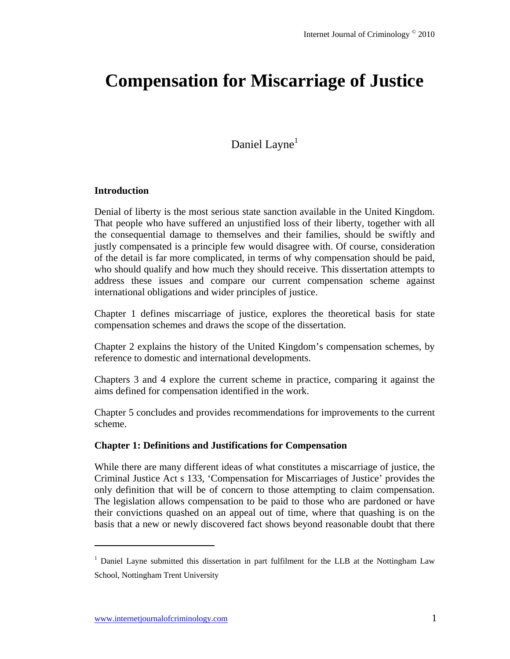# **Compensation for Miscarriage of Justice**

# Daniel Layne<sup>1</sup>

#### **Introduction**

Denial of liberty is the most serious state sanction available in the United Kingdom. That people who have suffered an unjustified loss of their liberty, together with all the consequential damage to themselves and their families, should be swiftly and justly compensated is a principle few would disagree with. Of course, consideration of the detail is far more complicated, in terms of why compensation should be paid, who should qualify and how much they should receive. This dissertation attempts to address these issues and compare our current compensation scheme against international obligations and wider principles of justice.

Chapter 1 defines miscarriage of justice, explores the theoretical basis for state compensation schemes and draws the scope of the dissertation.

Chapter 2 explains the history of the United Kingdom's compensation schemes, by reference to domestic and international developments.

Chapters 3 and 4 explore the current scheme in practice, comparing it against the aims defined for compensation identified in the work.

Chapter 5 concludes and provides recommendations for improvements to the current scheme.

#### **Chapter 1: Definitions and Justifications for Compensation**

While there are many different ideas of what constitutes a miscarriage of justice, the Criminal Justice Act s 133, 'Compensation for Miscarriages of Justice' provides the only definition that will be of concern to those attempting to claim compensation. The legislation allows compensation to be paid to those who are pardoned or have their convictions quashed on an appeal out of time, where that quashing is on the basis that a new or newly discovered fact shows beyond reasonable doubt that there

<sup>&</sup>lt;sup>1</sup> Daniel Layne submitted this dissertation in part fulfilment for the LLB at the Nottingham Law School, Nottingham Trent University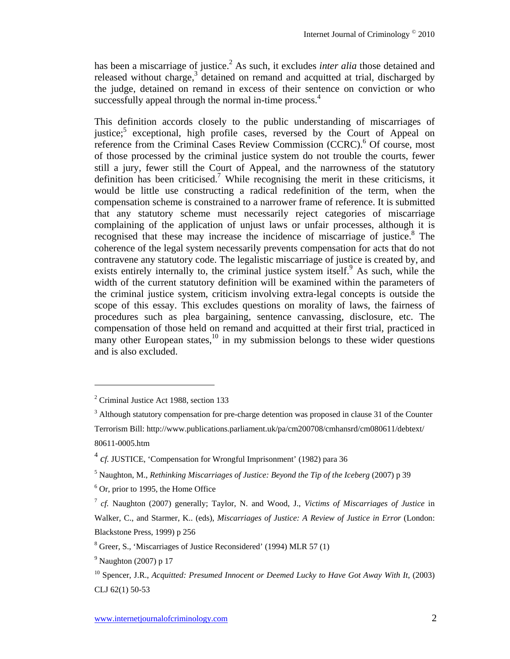has been a miscarriage of justice.<sup>2</sup> As such, it excludes *inter alia* those detained and released without charge, $3$  detained on remand and acquitted at trial, discharged by the judge, detained on remand in excess of their sentence on conviction or who successfully appeal through the normal in-time process.<sup>4</sup>

This definition accords closely to the public understanding of miscarriages of justice;<sup>5</sup> exceptional, high profile cases, reversed by the Court of Appeal on reference from the Criminal Cases Review Commission (CCRC).<sup>6</sup> Of course, most of those processed by the criminal justice system do not trouble the courts, fewer still a jury, fewer still the Court of Appeal, and the narrowness of the statutory definition has been criticised.<sup>7</sup> While recognising the merit in these criticisms, it would be little use constructing a radical redefinition of the term, when the compensation scheme is constrained to a narrower frame of reference. It is submitted that any statutory scheme must necessarily reject categories of miscarriage complaining of the application of unjust laws or unfair processes, although it is recognised that these may increase the incidence of miscarriage of justice.<sup>8</sup> The coherence of the legal system necessarily prevents compensation for acts that do not contravene any statutory code. The legalistic miscarriage of justice is created by, and exists entirely internally to, the criminal justice system itself.<sup>9</sup> As such, while the width of the current statutory definition will be examined within the parameters of the criminal justice system, criticism involving extra-legal concepts is outside the scope of this essay. This excludes questions on morality of laws, the fairness of procedures such as plea bargaining, sentence canvassing, disclosure, etc. The compensation of those held on remand and acquitted at their first trial, practiced in many other European states, $^{10}$  in my submission belongs to these wider questions and is also excluded.

<sup>&</sup>lt;sup>2</sup> Criminal Justice Act 1988, section 133

 $3$  Although statutory compensation for pre-charge detention was proposed in clause 31 of the Counter

Terrorism Bill: http://www.publications.parliament.uk/pa/cm200708/cmhansrd/cm080611/debtext/ 80611-0005.htm

<sup>4</sup> *cf.* JUSTICE, 'Compensation for Wrongful Imprisonment' (1982) para 36

<sup>5</sup> Naughton, M., *Rethinking Miscarriages of Justice: Beyond the Tip of the Iceberg* (2007) p 39

<sup>&</sup>lt;sup>6</sup> Or, prior to 1995, the Home Office

<sup>7</sup> *cf.* Naughton (2007) generally; Taylor, N. and Wood, J., *Victims of Miscarriages of Justice* in Walker, C., and Starmer, K.. (eds), *Miscarriages of Justice: A Review of Justice in Error* (London: Blackstone Press, 1999) p 256

<sup>&</sup>lt;sup>8</sup> Greer, S., 'Miscarriages of Justice Reconsidered' (1994) MLR 57 (1)

 $<sup>9</sup>$  Naughton (2007) p 17</sup>

<sup>&</sup>lt;sup>10</sup> Spencer, J.R., *Acquitted: Presumed Innocent or Deemed Lucky to Have Got Away With It*, (2003) CLJ 62(1) 50-53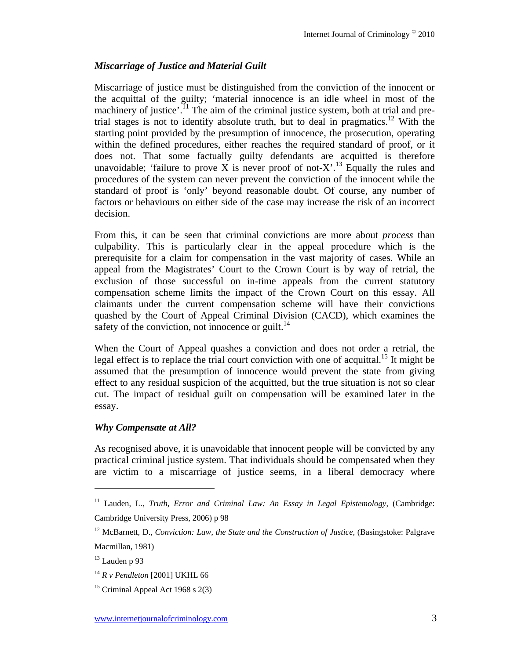## *Miscarriage of Justice and Material Guilt*

Miscarriage of justice must be distinguished from the conviction of the innocent or the acquittal of the guilty; 'material innocence is an idle wheel in most of the machinery of justice'.<sup>11</sup> The aim of the criminal justice system, both at trial and pretrial stages is not to identify absolute truth, but to deal in pragmatics.<sup>12</sup> With the starting point provided by the presumption of innocence, the prosecution, operating within the defined procedures, either reaches the required standard of proof, or it does not. That some factually guilty defendants are acquitted is therefore unavoidable; 'failure to prove X is never proof of not-X'.<sup>13</sup> Equally the rules and procedures of the system can never prevent the conviction of the innocent while the standard of proof is 'only' beyond reasonable doubt. Of course, any number of factors or behaviours on either side of the case may increase the risk of an incorrect decision.

From this, it can be seen that criminal convictions are more about *process* than culpability. This is particularly clear in the appeal procedure which is the prerequisite for a claim for compensation in the vast majority of cases. While an appeal from the Magistrates' Court to the Crown Court is by way of retrial, the exclusion of those successful on in-time appeals from the current statutory compensation scheme limits the impact of the Crown Court on this essay. All claimants under the current compensation scheme will have their convictions quashed by the Court of Appeal Criminal Division (CACD), which examines the safety of the conviction, not innocence or guilt. $^{14}$ 

When the Court of Appeal quashes a conviction and does not order a retrial, the legal effect is to replace the trial court conviction with one of acquittal.<sup>15</sup> It might be assumed that the presumption of innocence would prevent the state from giving effect to any residual suspicion of the acquitted, but the true situation is not so clear cut. The impact of residual guilt on compensation will be examined later in the essay.

## *Why Compensate at All?*

As recognised above, it is unavoidable that innocent people will be convicted by any practical criminal justice system. That individuals should be compensated when they are victim to a miscarriage of justice seems, in a liberal democracy where

<sup>&</sup>lt;sup>11</sup> Lauden, L., *Truth, Error and Criminal Law: An Essay in Legal Epistemology*, (Cambridge: Cambridge University Press, 2006) p 98

<sup>12</sup> McBarnett, D., *Conviction: Law, the State and the Construction of Justice*, (Basingstoke: Palgrave Macmillan, 1981)

 $13$  Lauden p 93

<sup>14</sup> *R v Pendleton* [2001] UKHL 66

<sup>&</sup>lt;sup>15</sup> Criminal Appeal Act 1968 s  $2(3)$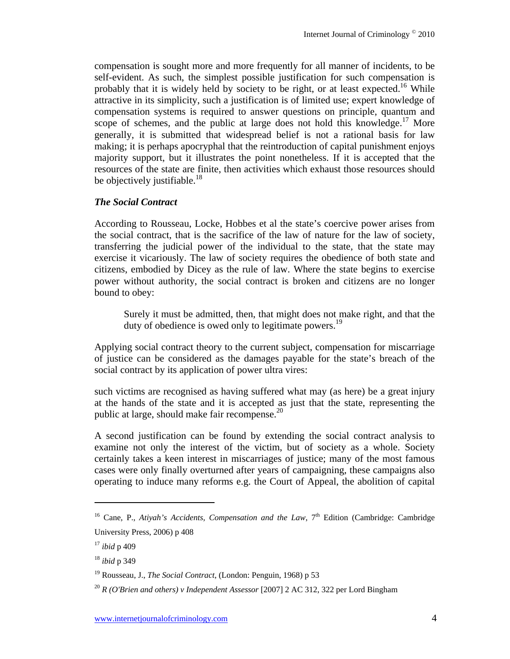compensation is sought more and more frequently for all manner of incidents, to be self-evident. As such, the simplest possible justification for such compensation is probably that it is widely held by society to be right, or at least expected.<sup>16</sup> While attractive in its simplicity, such a justification is of limited use; expert knowledge of compensation systems is required to answer questions on principle, quantum and scope of schemes, and the public at large does not hold this knowledge.<sup>17</sup> More generally, it is submitted that widespread belief is not a rational basis for law making; it is perhaps apocryphal that the reintroduction of capital punishment enjoys majority support, but it illustrates the point nonetheless. If it is accepted that the resources of the state are finite, then activities which exhaust those resources should be objectively justifiable.<sup>18</sup>

## *The Social Contract*

According to Rousseau, Locke, Hobbes et al the state's coercive power arises from the social contract, that is the sacrifice of the law of nature for the law of society, transferring the judicial power of the individual to the state, that the state may exercise it vicariously. The law of society requires the obedience of both state and citizens, embodied by Dicey as the rule of law. Where the state begins to exercise power without authority, the social contract is broken and citizens are no longer bound to obey:

Surely it must be admitted, then, that might does not make right, and that the duty of obedience is owed only to legitimate powers.<sup>19</sup>

Applying social contract theory to the current subject, compensation for miscarriage of justice can be considered as the damages payable for the state's breach of the social contract by its application of power ultra vires:

such victims are recognised as having suffered what may (as here) be a great injury at the hands of the state and it is accepted as just that the state, representing the public at large, should make fair recompense. $20$ 

A second justification can be found by extending the social contract analysis to examine not only the interest of the victim, but of society as a whole. Society certainly takes a keen interest in miscarriages of justice; many of the most famous cases were only finally overturned after years of campaigning, these campaigns also operating to induce many reforms e.g. the Court of Appeal, the abolition of capital

<sup>&</sup>lt;sup>16</sup> Cane, P., *Atiyah's Accidents, Compensation and the Law*,  $7<sup>th</sup>$  Edition (Cambridge: Cambridge University Press, 2006) p 408

<sup>17</sup> *ibid* p 409

<sup>18</sup> *ibid* p 349

<sup>19</sup> Rousseau, J., *The Social Contract*, (London: Penguin, 1968) p 53

<sup>20</sup> *R (O'Brien and others) v Independent Assessor* [2007] 2 AC 312, 322 per Lord Bingham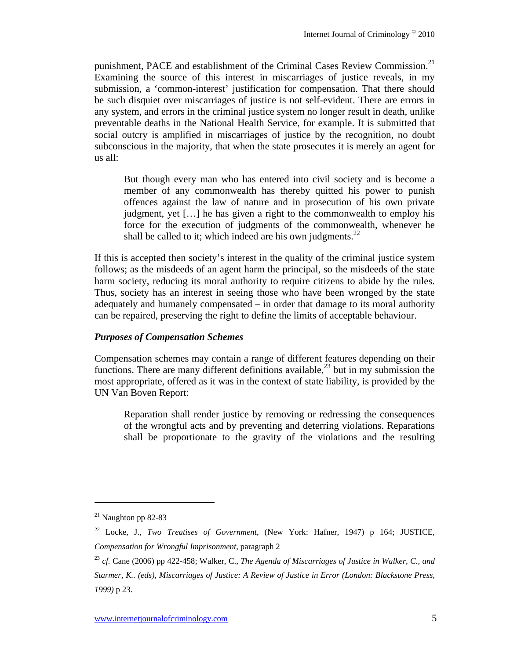punishment, PACE and establishment of the Criminal Cases Review Commission.<sup>21</sup> Examining the source of this interest in miscarriages of justice reveals, in my submission, a 'common-interest' justification for compensation. That there should be such disquiet over miscarriages of justice is not self-evident. There are errors in any system, and errors in the criminal justice system no longer result in death, unlike preventable deaths in the National Health Service, for example. It is submitted that social outcry is amplified in miscarriages of justice by the recognition, no doubt subconscious in the majority, that when the state prosecutes it is merely an agent for us all:

But though every man who has entered into civil society and is become a member of any commonwealth has thereby quitted his power to punish offences against the law of nature and in prosecution of his own private judgment, yet […] he has given a right to the commonwealth to employ his force for the execution of judgments of the commonwealth, whenever he shall be called to it; which indeed are his own judgments. $^{22}$ 

If this is accepted then society's interest in the quality of the criminal justice system follows; as the misdeeds of an agent harm the principal, so the misdeeds of the state harm society, reducing its moral authority to require citizens to abide by the rules. Thus, society has an interest in seeing those who have been wronged by the state adequately and humanely compensated – in order that damage to its moral authority can be repaired, preserving the right to define the limits of acceptable behaviour.

## *Purposes of Compensation Schemes*

Compensation schemes may contain a range of different features depending on their functions. There are many different definitions available,<sup>23</sup> but in my submission the most appropriate, offered as it was in the context of state liability, is provided by the UN Van Boven Report:

Reparation shall render justice by removing or redressing the consequences of the wrongful acts and by preventing and deterring violations. Reparations shall be proportionate to the gravity of the violations and the resulting

 $21$  Naughton pp 82-83

<sup>22</sup> Locke, J., *Two Treatises of Government*, (New York: Hafner, 1947) p 164; JUSTICE, *Compensation for Wrongful Imprisonment*, paragraph 2

<sup>23</sup> *cf.* Cane (2006) pp 422-458; Walker, C., *The Agenda of Miscarriages of Justice in Walker, C., and Starmer, K.. (eds), Miscarriages of Justice: A Review of Justice in Error (London: Blackstone Press, 1999)* p 23.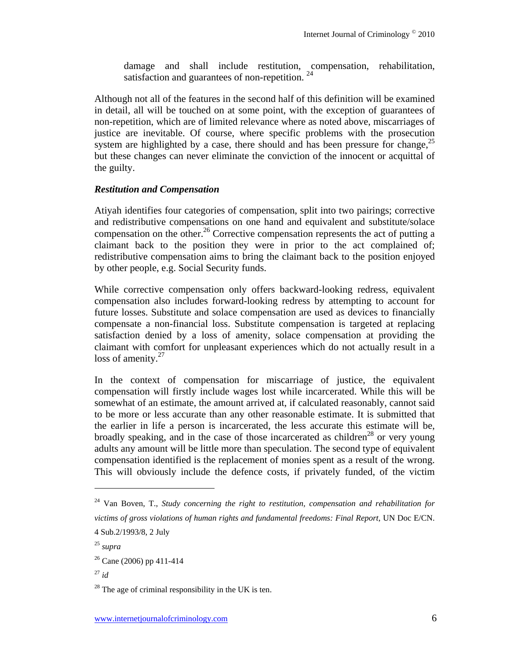damage and shall include restitution, compensation, rehabilitation, satisfaction and guarantees of non-repetition.  $24$ 

Although not all of the features in the second half of this definition will be examined in detail, all will be touched on at some point, with the exception of guarantees of non-repetition, which are of limited relevance where as noted above, miscarriages of justice are inevitable. Of course, where specific problems with the prosecution system are highlighted by a case, there should and has been pressure for change,  $2^5$ but these changes can never eliminate the conviction of the innocent or acquittal of the guilty.

## *Restitution and Compensation*

Atiyah identifies four categories of compensation, split into two pairings; corrective and redistributive compensations on one hand and equivalent and substitute/solace compensation on the other.<sup>26</sup> Corrective compensation represents the act of putting a claimant back to the position they were in prior to the act complained of; redistributive compensation aims to bring the claimant back to the position enjoyed by other people, e.g. Social Security funds.

While corrective compensation only offers backward-looking redress, equivalent compensation also includes forward-looking redress by attempting to account for future losses. Substitute and solace compensation are used as devices to financially compensate a non-financial loss. Substitute compensation is targeted at replacing satisfaction denied by a loss of amenity, solace compensation at providing the claimant with comfort for unpleasant experiences which do not actually result in a loss of amenity. $27$ 

In the context of compensation for miscarriage of justice, the equivalent compensation will firstly include wages lost while incarcerated. While this will be somewhat of an estimate, the amount arrived at, if calculated reasonably, cannot said to be more or less accurate than any other reasonable estimate. It is submitted that the earlier in life a person is incarcerated, the less accurate this estimate will be, broadly speaking, and in the case of those incarcerated as children<sup>28</sup> or very young adults any amount will be little more than speculation. The second type of equivalent compensation identified is the replacement of monies spent as a result of the wrong. This will obviously include the defence costs, if privately funded, of the victim

<sup>24</sup> Van Boven, T., *Study concerning the right to restitution, compensation and rehabilitation for victims of gross violations of human rights and fundamental freedoms: Final Report*, UN Doc E/CN. 4 Sub.2/1993/8, 2 July

<sup>25</sup> *supra* 

 $26$  Cane (2006) pp 411-414

 $^{27}$  *id* 

 $28$  The age of criminal responsibility in the UK is ten.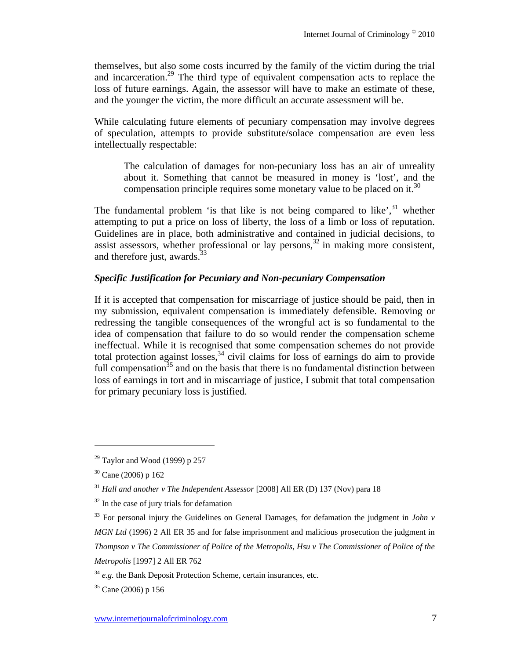themselves, but also some costs incurred by the family of the victim during the trial and incarceration.29 The third type of equivalent compensation acts to replace the loss of future earnings. Again, the assessor will have to make an estimate of these, and the younger the victim, the more difficult an accurate assessment will be.

While calculating future elements of pecuniary compensation may involve degrees of speculation, attempts to provide substitute/solace compensation are even less intellectually respectable:

The calculation of damages for non-pecuniary loss has an air of unreality about it. Something that cannot be measured in money is 'lost', and the compensation principle requires some monetary value to be placed on it.<sup>30</sup>

The fundamental problem 'is that like is not being compared to like', $31$  whether attempting to put a price on loss of liberty, the loss of a limb or loss of reputation. Guidelines are in place, both administrative and contained in judicial decisions, to assist assessors, whether professional or lay persons,  $32$  in making more consistent, and therefore just, awards.<sup>33</sup>

## *Specific Justification for Pecuniary and Non-pecuniary Compensation*

If it is accepted that compensation for miscarriage of justice should be paid, then in my submission, equivalent compensation is immediately defensible. Removing or redressing the tangible consequences of the wrongful act is so fundamental to the idea of compensation that failure to do so would render the compensation scheme ineffectual. While it is recognised that some compensation schemes do not provide total protection against losses,  $34$  civil claims for loss of earnings do aim to provide full compensation<sup>35</sup> and on the basis that there is no fundamental distinction between loss of earnings in tort and in miscarriage of justice, I submit that total compensation for primary pecuniary loss is justified.

 $29$  Taylor and Wood (1999) p 257

 $30$  Cane (2006) p 162

<sup>31</sup> *Hall and another v The Independent Assessor* [2008] All ER (D) 137 (Nov) para 18

 $32$  In the case of jury trials for defamation

<sup>&</sup>lt;sup>33</sup> For personal injury the Guidelines on General Damages, for defamation the judgment in *John v MGN Ltd* (1996) 2 All ER 35 and for false imprisonment and malicious prosecution the judgment in *Thompson v The Commissioner of Police of the Metropolis, Hsu v The Commissioner of Police of the Metropolis* [1997] 2 All ER 762

<sup>&</sup>lt;sup>34</sup> *e.g.* the Bank Deposit Protection Scheme, certain insurances, etc.

<sup>35</sup> Cane (2006) p 156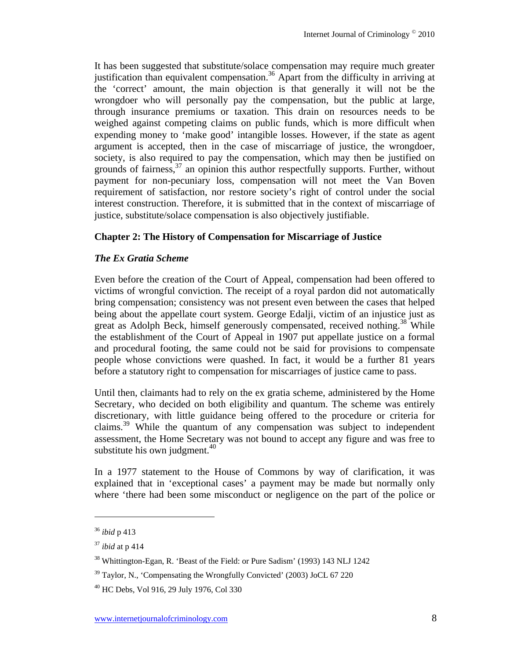It has been suggested that substitute/solace compensation may require much greater justification than equivalent compensation.<sup>36</sup> Apart from the difficulty in arriving at the 'correct' amount, the main objection is that generally it will not be the wrongdoer who will personally pay the compensation, but the public at large, through insurance premiums or taxation. This drain on resources needs to be weighed against competing claims on public funds, which is more difficult when expending money to 'make good' intangible losses. However, if the state as agent argument is accepted, then in the case of miscarriage of justice, the wrongdoer, society, is also required to pay the compensation, which may then be justified on grounds of fairness,<sup>37</sup> an opinion this author respectfully supports. Further, without payment for non-pecuniary loss, compensation will not meet the Van Boven requirement of satisfaction, nor restore society's right of control under the social interest construction. Therefore, it is submitted that in the context of miscarriage of justice, substitute/solace compensation is also objectively justifiable.

## **Chapter 2: The History of Compensation for Miscarriage of Justice**

## *The Ex Gratia Scheme*

Even before the creation of the Court of Appeal, compensation had been offered to victims of wrongful conviction. The receipt of a royal pardon did not automatically bring compensation; consistency was not present even between the cases that helped being about the appellate court system. George Edalji, victim of an injustice just as great as Adolph Beck, himself generously compensated, received nothing.38 While the establishment of the Court of Appeal in 1907 put appellate justice on a formal and procedural footing, the same could not be said for provisions to compensate people whose convictions were quashed. In fact, it would be a further 81 years before a statutory right to compensation for miscarriages of justice came to pass.

Until then, claimants had to rely on the ex gratia scheme, administered by the Home Secretary, who decided on both eligibility and quantum. The scheme was entirely discretionary, with little guidance being offered to the procedure or criteria for claims.39 While the quantum of any compensation was subject to independent assessment, the Home Secretary was not bound to accept any figure and was free to substitute his own judgment. $40$ 

In a 1977 statement to the House of Commons by way of clarification, it was explained that in 'exceptional cases' a payment may be made but normally only where 'there had been some misconduct or negligence on the part of the police or

<sup>36</sup> *ibid* p 413

<sup>37</sup> *ibid* at p 414

<sup>&</sup>lt;sup>38</sup> Whittington-Egan, R. 'Beast of the Field: or Pure Sadism' (1993) 143 NLJ 1242

 $39$  Taylor, N., 'Compensating the Wrongfully Convicted' (2003) JoCL 67 220

<sup>40</sup> HC Debs, Vol 916, 29 July 1976, Col 330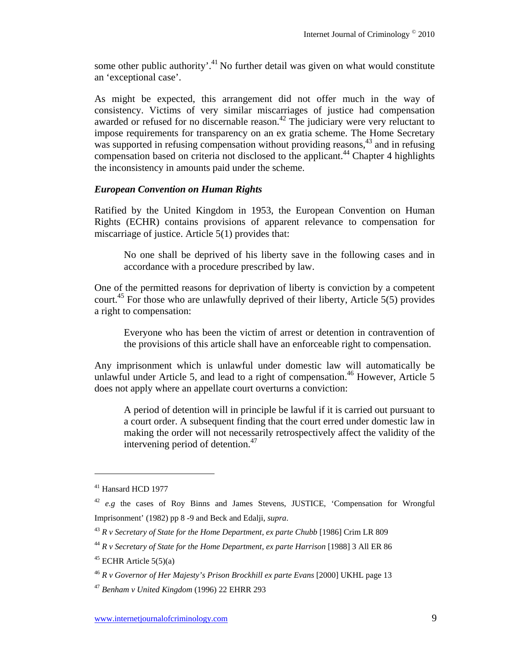some other public authority'.<sup>41</sup> No further detail was given on what would constitute an 'exceptional case'.

As might be expected, this arrangement did not offer much in the way of consistency. Victims of very similar miscarriages of justice had compensation awarded or refused for no discernable reason.<sup> $42$ </sup> The judiciary were very reluctant to impose requirements for transparency on an ex gratia scheme. The Home Secretary was supported in refusing compensation without providing reasons,<sup>43</sup> and in refusing compensation based on criteria not disclosed to the applicant.<sup>44</sup> Chapter 4 highlights the inconsistency in amounts paid under the scheme.

## *European Convention on Human Rights*

Ratified by the United Kingdom in 1953, the European Convention on Human Rights (ECHR) contains provisions of apparent relevance to compensation for miscarriage of justice. Article 5(1) provides that:

No one shall be deprived of his liberty save in the following cases and in accordance with a procedure prescribed by law.

One of the permitted reasons for deprivation of liberty is conviction by a competent court.<sup>45</sup> For those who are unlawfully deprived of their liberty, Article  $5(5)$  provides a right to compensation:

Everyone who has been the victim of arrest or detention in contravention of the provisions of this article shall have an enforceable right to compensation.

Any imprisonment which is unlawful under domestic law will automatically be unlawful under Article 5, and lead to a right of compensation.<sup>46</sup> However, Article 5 does not apply where an appellate court overturns a conviction:

A period of detention will in principle be lawful if it is carried out pursuant to a court order. A subsequent finding that the court erred under domestic law in making the order will not necessarily retrospectively affect the validity of the intervening period of detention.<sup>47</sup>

<sup>&</sup>lt;sup>41</sup> Hansard HCD 1977

<sup>42</sup> *e.g* the cases of Roy Binns and James Stevens, JUSTICE, 'Compensation for Wrongful Imprisonment' (1982) pp 8 -9 and Beck and Edalji, *supra*.

<sup>&</sup>lt;sup>43</sup> *R v Secretary of State for the Home Department, ex parte Chubb* [1986] Crim LR 809

<sup>&</sup>lt;sup>44</sup> *R v Secretary of State for the Home Department, ex parte Harrison* [1988] 3 All ER 86

 $45$  ECHR Article  $5(5)(a)$ 

<sup>46</sup> *R v Governor of Her Majesty's Prison Brockhill ex parte Evans* [2000] UKHL page 13

<sup>47</sup> *Benham v United Kingdom* (1996) 22 EHRR 293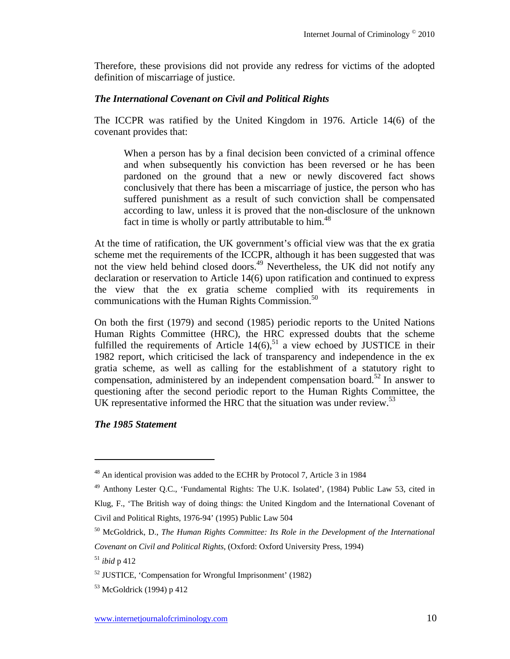Therefore, these provisions did not provide any redress for victims of the adopted definition of miscarriage of justice.

## *The International Covenant on Civil and Political Rights*

The ICCPR was ratified by the United Kingdom in 1976. Article 14(6) of the covenant provides that:

When a person has by a final decision been convicted of a criminal offence and when subsequently his conviction has been reversed or he has been pardoned on the ground that a new or newly discovered fact shows conclusively that there has been a miscarriage of justice, the person who has suffered punishment as a result of such conviction shall be compensated according to law, unless it is proved that the non-disclosure of the unknown fact in time is wholly or partly attributable to him.<sup>48</sup>

At the time of ratification, the UK government's official view was that the ex gratia scheme met the requirements of the ICCPR, although it has been suggested that was not the view held behind closed doors.<sup>49</sup> Nevertheless, the UK did not notify any declaration or reservation to Article 14(6) upon ratification and continued to express the view that the ex gratia scheme complied with its requirements in communications with the Human Rights Commission.<sup>50</sup>

On both the first (1979) and second (1985) periodic reports to the United Nations Human Rights Committee (HRC), the HRC expressed doubts that the scheme fulfilled the requirements of Article  $14(6)$ ,<sup>51</sup> a view echoed by JUSTICE in their 1982 report, which criticised the lack of transparency and independence in the ex gratia scheme, as well as calling for the establishment of a statutory right to compensation, administered by an independent compensation board.<sup>52</sup> In answer to questioning after the second periodic report to the Human Rights Committee, the UK representative informed the HRC that the situation was under review.<sup>53</sup>

*The 1985 Statement* 

<sup>&</sup>lt;sup>48</sup> An identical provision was added to the ECHR by Protocol 7, Article 3 in 1984

<sup>49</sup> Anthony Lester Q.C., 'Fundamental Rights: The U.K. Isolated', (1984) Public Law 53, cited in Klug, F., 'The British way of doing things: the United Kingdom and the International Covenant of Civil and Political Rights, 1976-94' (1995) Public Law 504

<sup>50</sup> McGoldrick, D., *The Human Rights Committee: Its Role in the Development of the International Covenant on Civil and Political Rights*, (Oxford: Oxford University Press, 1994)

<sup>51</sup> *ibid* p 412

<sup>52</sup> JUSTICE, 'Compensation for Wrongful Imprisonment' (1982)

<sup>53</sup> McGoldrick (1994) p 412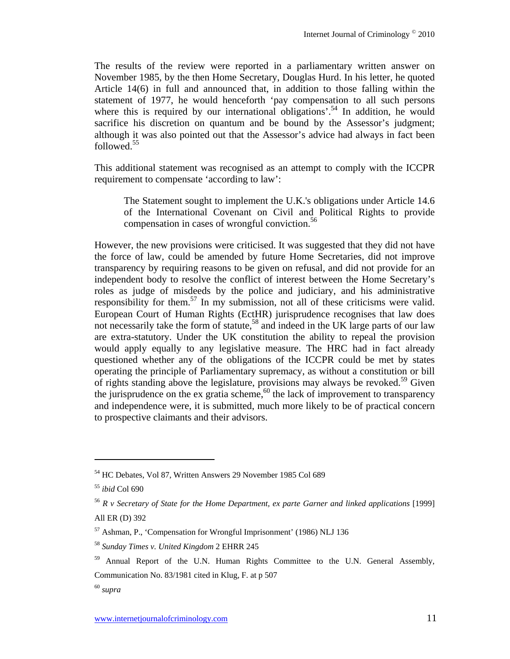The results of the review were reported in a parliamentary written answer on November 1985, by the then Home Secretary, Douglas Hurd. In his letter, he quoted Article 14(6) in full and announced that, in addition to those falling within the statement of 1977, he would henceforth 'pay compensation to all such persons where this is required by our international obligations'.<sup>54</sup> In addition, he would sacrifice his discretion on quantum and be bound by the Assessor's judgment; although it was also pointed out that the Assessor's advice had always in fact been followed.55

This additional statement was recognised as an attempt to comply with the ICCPR requirement to compensate 'according to law':

The Statement sought to implement the U.K.'s obligations under Article 14.6 of the International Covenant on Civil and Political Rights to provide compensation in cases of wrongful conviction.<sup>56</sup>

However, the new provisions were criticised. It was suggested that they did not have the force of law, could be amended by future Home Secretaries, did not improve transparency by requiring reasons to be given on refusal, and did not provide for an independent body to resolve the conflict of interest between the Home Secretary's roles as judge of misdeeds by the police and judiciary, and his administrative responsibility for them. $57$  In my submission, not all of these criticisms were valid. European Court of Human Rights (EctHR) jurisprudence recognises that law does not necessarily take the form of statute,<sup>58</sup> and indeed in the UK large parts of our law are extra-statutory. Under the UK constitution the ability to repeal the provision would apply equally to any legislative measure. The HRC had in fact already questioned whether any of the obligations of the ICCPR could be met by states operating the principle of Parliamentary supremacy, as without a constitution or bill of rights standing above the legislature, provisions may always be revoked.59 Given the jurisprudence on the ex gratia scheme,  $60$  the lack of improvement to transparency and independence were, it is submitted, much more likely to be of practical concern to prospective claimants and their advisors.

<sup>54</sup> HC Debates, Vol 87, Written Answers 29 November 1985 Col 689

<sup>55</sup> *ibid* Col 690

<sup>56</sup> *R v Secretary of State for the Home Department, ex parte Garner and linked applications* [1999] All ER (D) 392

<sup>57</sup> Ashman, P., 'Compensation for Wrongful Imprisonment' (1986) NLJ 136

<sup>58</sup> *Sunday Times v. United Kingdom* 2 EHRR 245

<sup>&</sup>lt;sup>59</sup> Annual Report of the U.N. Human Rights Committee to the U.N. General Assembly, Communication No. 83/1981 cited in Klug, F. at p 507

<sup>60</sup> *supra*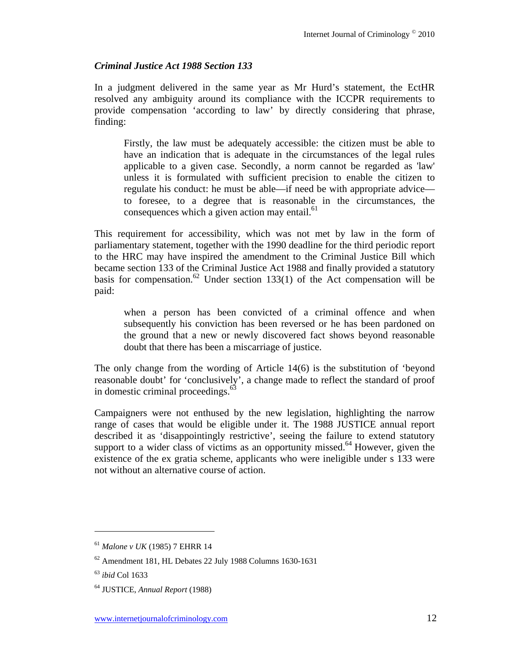## *Criminal Justice Act 1988 Section 133*

In a judgment delivered in the same year as Mr Hurd's statement, the EctHR resolved any ambiguity around its compliance with the ICCPR requirements to provide compensation 'according to law' by directly considering that phrase, finding:

Firstly, the law must be adequately accessible: the citizen must be able to have an indication that is adequate in the circumstances of the legal rules applicable to a given case. Secondly, a norm cannot be regarded as 'law' unless it is formulated with sufficient precision to enable the citizen to regulate his conduct: he must be able—if need be with appropriate advice to foresee, to a degree that is reasonable in the circumstances, the consequences which a given action may entail. $^{61}$ 

This requirement for accessibility, which was not met by law in the form of parliamentary statement, together with the 1990 deadline for the third periodic report to the HRC may have inspired the amendment to the Criminal Justice Bill which became section 133 of the Criminal Justice Act 1988 and finally provided a statutory basis for compensation.<sup>62</sup> Under section 133(1) of the Act compensation will be paid:

when a person has been convicted of a criminal offence and when subsequently his conviction has been reversed or he has been pardoned on the ground that a new or newly discovered fact shows beyond reasonable doubt that there has been a miscarriage of justice.

The only change from the wording of Article 14(6) is the substitution of 'beyond reasonable doubt' for 'conclusively', a change made to reflect the standard of proof in domestic criminal proceedings. $^{63}$ 

Campaigners were not enthused by the new legislation, highlighting the narrow range of cases that would be eligible under it. The 1988 JUSTICE annual report described it as 'disappointingly restrictive', seeing the failure to extend statutory support to a wider class of victims as an opportunity missed.<sup>64</sup> However, given the existence of the ex gratia scheme, applicants who were ineligible under s 133 were not without an alternative course of action.

<sup>61</sup> *Malone v UK* (1985) 7 EHRR 14

<sup>62</sup> Amendment 181, HL Debates 22 July 1988 Columns 1630-1631

<sup>63</sup> *ibid* Col 1633

<sup>64</sup> JUSTICE, *Annual Report* (1988)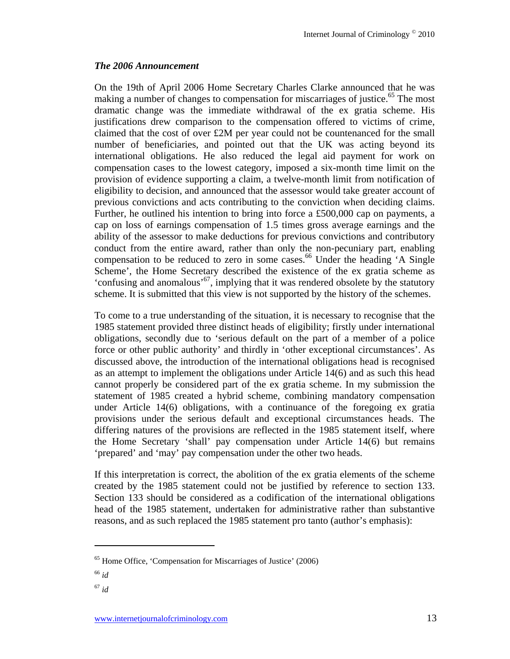## *The 2006 Announcement*

On the 19th of April 2006 Home Secretary Charles Clarke announced that he was making a number of changes to compensation for miscarriages of justice.<sup>65</sup> The most dramatic change was the immediate withdrawal of the ex gratia scheme. His justifications drew comparison to the compensation offered to victims of crime, claimed that the cost of over £2M per year could not be countenanced for the small number of beneficiaries, and pointed out that the UK was acting beyond its international obligations. He also reduced the legal aid payment for work on compensation cases to the lowest category, imposed a six-month time limit on the provision of evidence supporting a claim, a twelve-month limit from notification of eligibility to decision, and announced that the assessor would take greater account of previous convictions and acts contributing to the conviction when deciding claims. Further, he outlined his intention to bring into force a £500,000 cap on payments, a cap on loss of earnings compensation of 1.5 times gross average earnings and the ability of the assessor to make deductions for previous convictions and contributory conduct from the entire award, rather than only the non-pecuniary part, enabling compensation to be reduced to zero in some cases.<sup>66</sup> Under the heading  $'A$  Single Scheme', the Home Secretary described the existence of the ex gratia scheme as 'confusing and anomalous'<sup>67</sup>, implying that it was rendered obsolete by the statutory scheme. It is submitted that this view is not supported by the history of the schemes.

To come to a true understanding of the situation, it is necessary to recognise that the 1985 statement provided three distinct heads of eligibility; firstly under international obligations, secondly due to 'serious default on the part of a member of a police force or other public authority' and thirdly in 'other exceptional circumstances'. As discussed above, the introduction of the international obligations head is recognised as an attempt to implement the obligations under Article 14(6) and as such this head cannot properly be considered part of the ex gratia scheme. In my submission the statement of 1985 created a hybrid scheme, combining mandatory compensation under Article 14(6) obligations, with a continuance of the foregoing ex gratia provisions under the serious default and exceptional circumstances heads. The differing natures of the provisions are reflected in the 1985 statement itself, where the Home Secretary 'shall' pay compensation under Article 14(6) but remains 'prepared' and 'may' pay compensation under the other two heads.

If this interpretation is correct, the abolition of the ex gratia elements of the scheme created by the 1985 statement could not be justified by reference to section 133. Section 133 should be considered as a codification of the international obligations head of the 1985 statement, undertaken for administrative rather than substantive reasons, and as such replaced the 1985 statement pro tanto (author's emphasis):

<sup>65</sup> Home Office, 'Compensation for Miscarriages of Justice' (2006)

<sup>66</sup> *id*

<sup>67</sup> *id*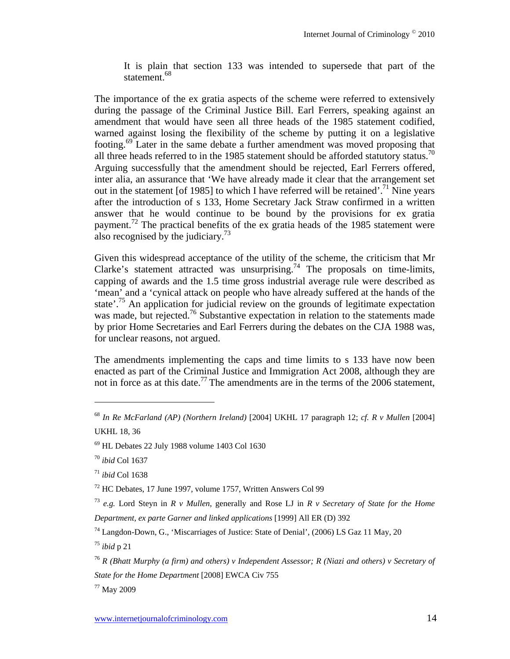It is plain that section 133 was intended to supersede that part of the statement.<sup>68</sup>

The importance of the ex gratia aspects of the scheme were referred to extensively during the passage of the Criminal Justice Bill. Earl Ferrers, speaking against an amendment that would have seen all three heads of the 1985 statement codified, warned against losing the flexibility of the scheme by putting it on a legislative footing.69 Later in the same debate a further amendment was moved proposing that all three heads referred to in the 1985 statement should be afforded statutory status.<sup>70</sup> Arguing successfully that the amendment should be rejected, Earl Ferrers offered, inter alia, an assurance that 'We have already made it clear that the arrangement set out in the statement [of 1985] to which I have referred will be retained'.<sup>71</sup> Nine years after the introduction of s 133, Home Secretary Jack Straw confirmed in a written answer that he would continue to be bound by the provisions for ex gratia payment.<sup>72</sup> The practical benefits of the ex gratia heads of the 1985 statement were also recognised by the judiciary.<sup>73</sup>

Given this widespread acceptance of the utility of the scheme, the criticism that Mr Clarke's statement attracted was unsurprising.74 The proposals on time-limits, capping of awards and the 1.5 time gross industrial average rule were described as 'mean' and a 'cynical attack on people who have already suffered at the hands of the state<sup>7.75</sup> An application for judicial review on the grounds of legitimate expectation was made, but rejected.<sup>76</sup> Substantive expectation in relation to the statements made by prior Home Secretaries and Earl Ferrers during the debates on the CJA 1988 was, for unclear reasons, not argued.

The amendments implementing the caps and time limits to s 133 have now been enacted as part of the Criminal Justice and Immigration Act 2008, although they are not in force as at this date.<sup>77</sup> The amendments are in the terms of the 2006 statement,

 $\overline{a}$ 

77 May 2009

<sup>68</sup> *In Re McFarland (AP) (Northern Ireland)* [2004] UKHL 17 paragraph 12; *cf. R v Mullen* [2004] UKHL 18, 36

<sup>69</sup> HL Debates 22 July 1988 volume 1403 Col 1630

<sup>70</sup> *ibid* Col 1637

<sup>71</sup> *ibid* Col 1638

<sup>72</sup> HC Debates, 17 June 1997, volume 1757, Written Answers Col 99

<sup>73</sup> *e.g.* Lord Steyn in *R v Mullen*, generally and Rose LJ in *R v Secretary of State for the Home Department, ex parte Garner and linked applications* [1999] All ER (D) 392

<sup>74</sup> Langdon-Down, G., 'Miscarriages of Justice: State of Denial', (2006) LS Gaz 11 May, 20

<sup>75</sup> *ibid* p 21

<sup>76</sup> *R (Bhatt Murphy (a firm) and others) v Independent Assessor; R (Niazi and others) v Secretary of* 

*State for the Home Department* [2008] EWCA Civ 755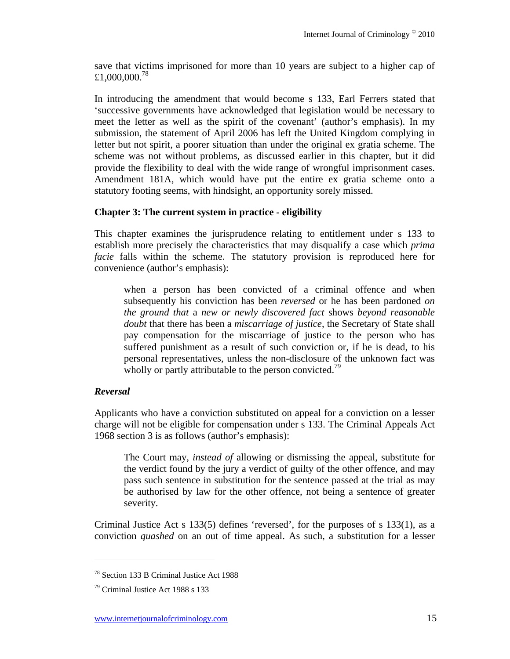save that victims imprisoned for more than 10 years are subject to a higher cap of £1,000,000.78

In introducing the amendment that would become s 133, Earl Ferrers stated that 'successive governments have acknowledged that legislation would be necessary to meet the letter as well as the spirit of the covenant' (author's emphasis). In my submission, the statement of April 2006 has left the United Kingdom complying in letter but not spirit, a poorer situation than under the original ex gratia scheme. The scheme was not without problems, as discussed earlier in this chapter, but it did provide the flexibility to deal with the wide range of wrongful imprisonment cases. Amendment 181A, which would have put the entire ex gratia scheme onto a statutory footing seems, with hindsight, an opportunity sorely missed.

## **Chapter 3: The current system in practice - eligibility**

This chapter examines the jurisprudence relating to entitlement under s 133 to establish more precisely the characteristics that may disqualify a case which *prima facie* falls within the scheme. The statutory provision is reproduced here for convenience (author's emphasis):

when a person has been convicted of a criminal offence and when subsequently his conviction has been *reversed* or he has been pardoned *on the ground that* a *new or newly discovered fact* shows *beyond reasonable doubt* that there has been a *miscarriage of justice*, the Secretary of State shall pay compensation for the miscarriage of justice to the person who has suffered punishment as a result of such conviction or, if he is dead, to his personal representatives, unless the non-disclosure of the unknown fact was wholly or partly attributable to the person convicted.<sup>79</sup>

# *Reversal*

 $\overline{a}$ 

Applicants who have a conviction substituted on appeal for a conviction on a lesser charge will not be eligible for compensation under s 133. The Criminal Appeals Act 1968 section 3 is as follows (author's emphasis):

The Court may, *instead of* allowing or dismissing the appeal, substitute for the verdict found by the jury a verdict of guilty of the other offence, and may pass such sentence in substitution for the sentence passed at the trial as may be authorised by law for the other offence, not being a sentence of greater severity.

Criminal Justice Act s 133(5) defines 'reversed', for the purposes of s 133(1), as a conviction *quashed* on an out of time appeal. As such, a substitution for a lesser

<sup>78</sup> Section 133 B Criminal Justice Act 1988

<sup>79</sup> Criminal Justice Act 1988 s 133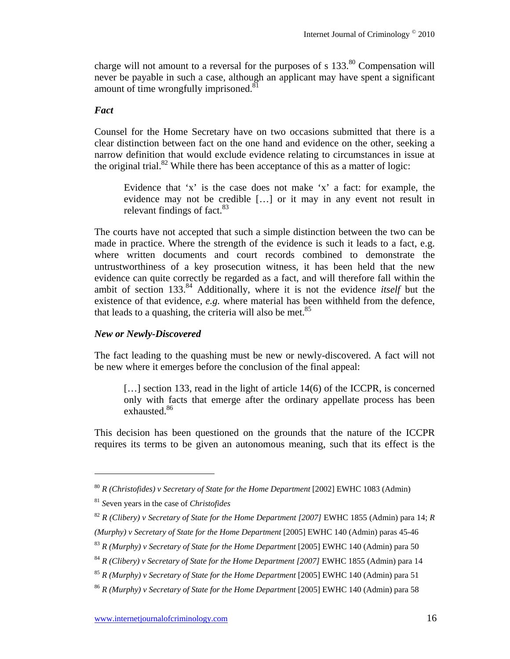charge will not amount to a reversal for the purposes of s  $133$ <sup>80</sup> Compensation will never be payable in such a case, although an applicant may have spent a significant amount of time wrongfully imprisoned. $81$ 

#### *Fact*

Counsel for the Home Secretary have on two occasions submitted that there is a clear distinction between fact on the one hand and evidence on the other, seeking a narrow definition that would exclude evidence relating to circumstances in issue at the original trial.<sup>82</sup> While there has been acceptance of this as a matter of logic:

Evidence that 'x' is the case does not make 'x' a fact: for example, the evidence may not be credible […] or it may in any event not result in relevant findings of fact. $83$ 

The courts have not accepted that such a simple distinction between the two can be made in practice. Where the strength of the evidence is such it leads to a fact, e.g. where written documents and court records combined to demonstrate the untrustworthiness of a key prosecution witness, it has been held that the new evidence can quite correctly be regarded as a fact, and will therefore fall within the ambit of section 133.84 Additionally, where it is not the evidence *itself* but the existence of that evidence, *e.g.* where material has been withheld from the defence, that leads to a quashing, the criteria will also be met.<sup>85</sup>

#### *New or Newly-Discovered*

The fact leading to the quashing must be new or newly-discovered. A fact will not be new where it emerges before the conclusion of the final appeal:

[...] section 133, read in the light of article 14(6) of the ICCPR, is concerned only with facts that emerge after the ordinary appellate process has been exhausted.<sup>86</sup>

This decision has been questioned on the grounds that the nature of the ICCPR requires its terms to be given an autonomous meaning, such that its effect is the

<sup>80</sup> *R (Christofides) v Secretary of State for the Home Department* [2002] EWHC 1083 (Admin)

<sup>81</sup> *S*even years in the case of *Christofides*

<sup>82</sup> *R (Clibery) v Secretary of State for the Home Department [2007]* EWHC 1855 (Admin) para 14; *R (Murphy) v Secretary of State for the Home Department* [2005] EWHC 140 (Admin) paras 45-46

<sup>83</sup> *R (Murphy) v Secretary of State for the Home Department* [2005] EWHC 140 (Admin) para 50

<sup>&</sup>lt;sup>84</sup> *R* (Clibery) *v* Secretary of State for the Home Department [2007] EWHC 1855 (Admin) para 14

<sup>85</sup> *R (Murphy) v Secretary of State for the Home Department* [2005] EWHC 140 (Admin) para 51

<sup>&</sup>lt;sup>86</sup> *R* (Murphy) *v* Secretary of State for the Home Department [2005] EWHC 140 (Admin) para 58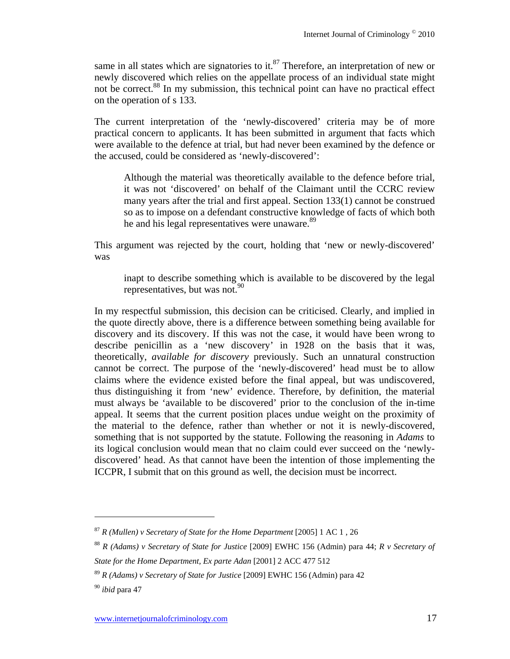same in all states which are signatories to it.<sup>87</sup> Therefore, an interpretation of new or newly discovered which relies on the appellate process of an individual state might not be correct.<sup>88</sup> In my submission, this technical point can have no practical effect on the operation of s 133.

The current interpretation of the 'newly-discovered' criteria may be of more practical concern to applicants. It has been submitted in argument that facts which were available to the defence at trial, but had never been examined by the defence or the accused, could be considered as 'newly-discovered':

Although the material was theoretically available to the defence before trial, it was not 'discovered' on behalf of the Claimant until the CCRC review many years after the trial and first appeal. Section 133(1) cannot be construed so as to impose on a defendant constructive knowledge of facts of which both he and his legal representatives were unaware.<sup>89</sup>

This argument was rejected by the court, holding that 'new or newly-discovered' was

inapt to describe something which is available to be discovered by the legal representatives, but was not.  $90^{\circ}$ 

In my respectful submission, this decision can be criticised. Clearly, and implied in the quote directly above, there is a difference between something being available for discovery and its discovery. If this was not the case, it would have been wrong to describe penicillin as a 'new discovery' in 1928 on the basis that it was, theoretically, *available for discovery* previously. Such an unnatural construction cannot be correct. The purpose of the 'newly-discovered' head must be to allow claims where the evidence existed before the final appeal, but was undiscovered, thus distinguishing it from 'new' evidence. Therefore, by definition, the material must always be 'available to be discovered' prior to the conclusion of the in-time appeal. It seems that the current position places undue weight on the proximity of the material to the defence, rather than whether or not it is newly-discovered, something that is not supported by the statute. Following the reasoning in *Adams* to its logical conclusion would mean that no claim could ever succeed on the 'newlydiscovered' head. As that cannot have been the intention of those implementing the ICCPR, I submit that on this ground as well, the decision must be incorrect.

<sup>87</sup> *R (Mullen) v Secretary of State for the Home Department* [2005] 1 AC 1 , 26

<sup>88</sup> *R (Adams) v Secretary of State for Justice* [2009] EWHC 156 (Admin) para 44; *R v Secretary of* 

*State for the Home Department, Ex parte Adan* [2001] 2 ACC 477 512

<sup>89</sup> *R (Adams) v Secretary of State for Justice* [2009] EWHC 156 (Admin) para 42

<sup>90</sup> *ibid* para 47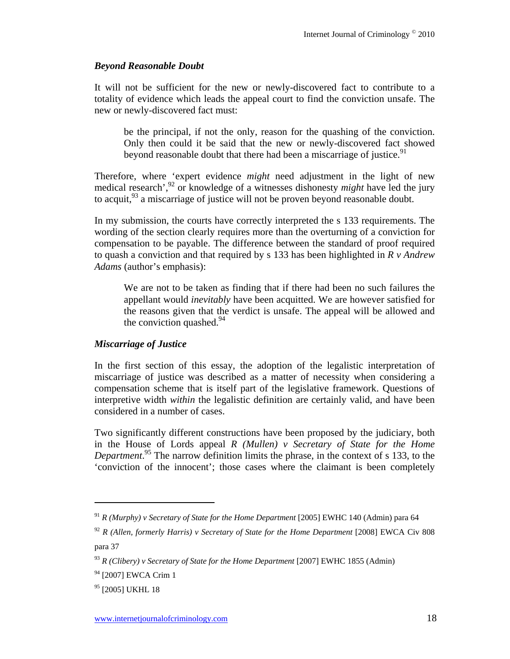## *Beyond Reasonable Doubt*

It will not be sufficient for the new or newly-discovered fact to contribute to a totality of evidence which leads the appeal court to find the conviction unsafe. The new or newly-discovered fact must:

be the principal, if not the only, reason for the quashing of the conviction. Only then could it be said that the new or newly-discovered fact showed beyond reasonable doubt that there had been a miscarriage of justice.<sup>91</sup>

Therefore, where 'expert evidence *might* need adjustment in the light of new medical research<sup>',92</sup> or knowledge of a witnesses dishonesty *might* have led the jury to acquit,<sup>93</sup> a miscarriage of justice will not be proven beyond reasonable doubt.

In my submission, the courts have correctly interpreted the s 133 requirements. The wording of the section clearly requires more than the overturning of a conviction for compensation to be payable. The difference between the standard of proof required to quash a conviction and that required by s 133 has been highlighted in *R v Andrew Adams* (author's emphasis):

We are not to be taken as finding that if there had been no such failures the appellant would *inevitably* have been acquitted. We are however satisfied for the reasons given that the verdict is unsafe. The appeal will be allowed and the conviction quashed. $94$ 

## *Miscarriage of Justice*

In the first section of this essay, the adoption of the legalistic interpretation of miscarriage of justice was described as a matter of necessity when considering a compensation scheme that is itself part of the legislative framework. Questions of interpretive width *within* the legalistic definition are certainly valid, and have been considered in a number of cases.

Two significantly different constructions have been proposed by the judiciary, both in the House of Lords appeal *R (Mullen) v Secretary of State for the Home Department*. 95 The narrow definition limits the phrase, in the context of s 133, to the 'conviction of the innocent'; those cases where the claimant is been completely

<sup>91</sup> *R (Murphy) v Secretary of State for the Home Department* [2005] EWHC 140 (Admin) para 64

<sup>92</sup> *R (Allen, formerly Harris) v Secretary of State for the Home Department* [2008] EWCA Civ 808 para 37

<sup>93</sup> *R (Clibery) v Secretary of State for the Home Department* [2007] EWHC 1855 (Admin)

<sup>&</sup>lt;sup>94</sup> [2007] EWCA Crim 1

<sup>&</sup>lt;sup>95</sup> [2005] UKHL 18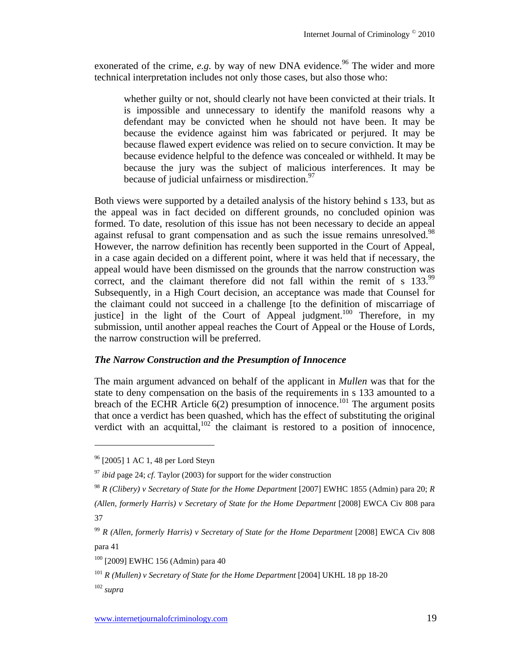exonerated of the crime,  $e.g.$  by way of new DNA evidence.<sup>96</sup> The wider and more technical interpretation includes not only those cases, but also those who:

whether guilty or not, should clearly not have been convicted at their trials. It is impossible and unnecessary to identify the manifold reasons why a defendant may be convicted when he should not have been. It may be because the evidence against him was fabricated or perjured. It may be because flawed expert evidence was relied on to secure conviction. It may be because evidence helpful to the defence was concealed or withheld. It may be because the jury was the subject of malicious interferences. It may be because of judicial unfairness or misdirection.<sup>97</sup>

Both views were supported by a detailed analysis of the history behind s 133, but as the appeal was in fact decided on different grounds, no concluded opinion was formed. To date, resolution of this issue has not been necessary to decide an appeal against refusal to grant compensation and as such the issue remains unresolved.<sup>98</sup> However, the narrow definition has recently been supported in the Court of Appeal, in a case again decided on a different point, where it was held that if necessary, the appeal would have been dismissed on the grounds that the narrow construction was correct, and the claimant therefore did not fall within the remit of s 133.<sup>99</sup> Subsequently, in a High Court decision, an acceptance was made that Counsel for the claimant could not succeed in a challenge [to the definition of miscarriage of justice] in the light of the Court of Appeal judgment.<sup>100</sup> Therefore, in my submission, until another appeal reaches the Court of Appeal or the House of Lords, the narrow construction will be preferred.

## *The Narrow Construction and the Presumption of Innocence*

The main argument advanced on behalf of the applicant in *Mullen* was that for the state to deny compensation on the basis of the requirements in s 133 amounted to a breach of the ECHR Article  $6(2)$  presumption of innocence.<sup>101</sup> The argument posits that once a verdict has been quashed, which has the effect of substituting the original verdict with an acquittal, $102^4$  the claimant is restored to a position of innocence,

<sup>102</sup> *supra*

<sup>96 [2005] 1</sup> AC 1, 48 per Lord Steyn

<sup>97</sup> *ibid* page 24; *cf.* Taylor (2003) for support for the wider construction

<sup>98</sup> *R (Clibery) v Secretary of State for the Home Department* [2007] EWHC 1855 (Admin) para 20; *R* 

*<sup>(</sup>Allen, formerly Harris) v Secretary of State for the Home Department* [2008] EWCA Civ 808 para 37

<sup>99</sup> *R (Allen, formerly Harris) v Secretary of State for the Home Department* [2008] EWCA Civ 808 para 41

<sup>100 [2009]</sup> EWHC 156 (Admin) para 40

<sup>&</sup>lt;sup>101</sup> *R* (Mullen) *v* Secretary of State for the Home Department [2004] UKHL 18 pp 18-20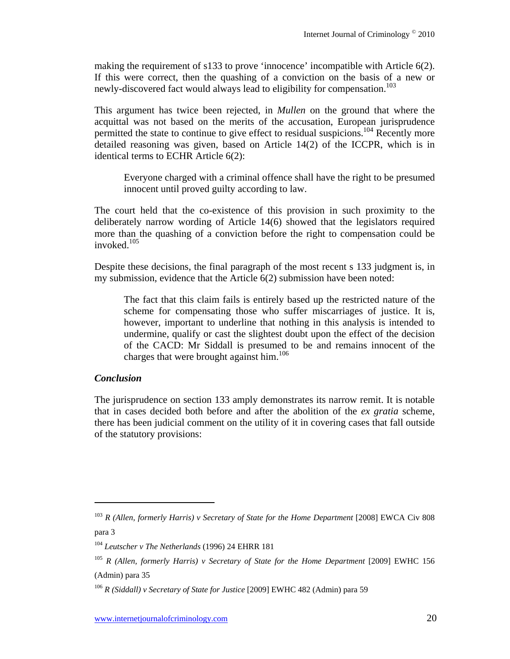making the requirement of s133 to prove 'innocence' incompatible with Article 6(2). If this were correct, then the quashing of a conviction on the basis of a new or newly-discovered fact would always lead to eligibility for compensation.<sup>103</sup>

This argument has twice been rejected, in *Mullen* on the ground that where the acquittal was not based on the merits of the accusation, European jurisprudence permitted the state to continue to give effect to residual suspicions.<sup>104</sup> Recently more detailed reasoning was given, based on Article 14(2) of the ICCPR, which is in identical terms to ECHR Article 6(2):

Everyone charged with a criminal offence shall have the right to be presumed innocent until proved guilty according to law.

The court held that the co-existence of this provision in such proximity to the deliberately narrow wording of Article 14(6) showed that the legislators required more than the quashing of a conviction before the right to compensation could be invoked.105

Despite these decisions, the final paragraph of the most recent s 133 judgment is, in my submission, evidence that the Article 6(2) submission have been noted:

The fact that this claim fails is entirely based up the restricted nature of the scheme for compensating those who suffer miscarriages of justice. It is, however, important to underline that nothing in this analysis is intended to undermine, qualify or cast the slightest doubt upon the effect of the decision of the CACD: Mr Siddall is presumed to be and remains innocent of the charges that were brought against him.<sup>106</sup>

#### *Conclusion*

 $\overline{a}$ 

The jurisprudence on section 133 amply demonstrates its narrow remit. It is notable that in cases decided both before and after the abolition of the *ex gratia* scheme, there has been judicial comment on the utility of it in covering cases that fall outside of the statutory provisions:

<sup>103</sup> *R (Allen, formerly Harris) v Secretary of State for the Home Department* [2008] EWCA Civ 808 para 3

<sup>104</sup> *Leutscher v The Netherlands* (1996) 24 EHRR 181

<sup>105</sup> *R (Allen, formerly Harris) v Secretary of State for the Home Department* [2009] EWHC 156 (Admin) para 35

<sup>106</sup> *R (Siddall) v Secretary of State for Justice* [2009] EWHC 482 (Admin) para 59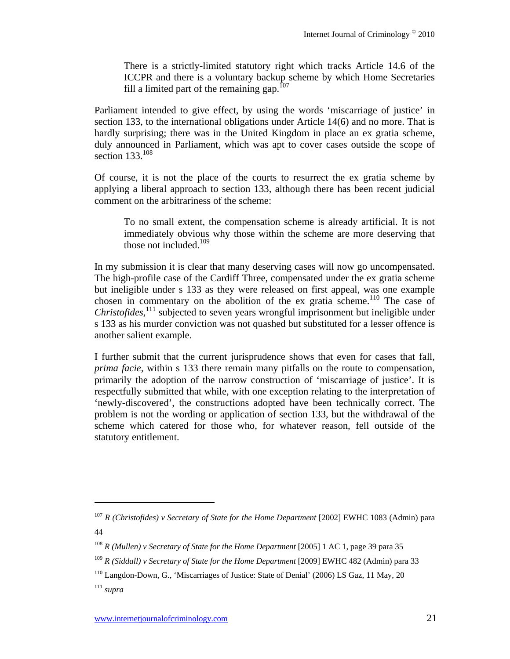There is a strictly-limited statutory right which tracks Article 14.6 of the ICCPR and there is a voluntary backup scheme by which Home Secretaries fill a limited part of the remaining gap.<sup>107</sup>

Parliament intended to give effect, by using the words 'miscarriage of justice' in section 133, to the international obligations under Article 14(6) and no more. That is hardly surprising; there was in the United Kingdom in place an ex gratia scheme, duly announced in Parliament, which was apt to cover cases outside the scope of section 133.<sup>108</sup>

Of course, it is not the place of the courts to resurrect the ex gratia scheme by applying a liberal approach to section 133, although there has been recent judicial comment on the arbitrariness of the scheme:

To no small extent, the compensation scheme is already artificial. It is not immediately obvious why those within the scheme are more deserving that those not included. $109$ 

In my submission it is clear that many deserving cases will now go uncompensated. The high-profile case of the Cardiff Three, compensated under the ex gratia scheme but ineligible under s 133 as they were released on first appeal, was one example chosen in commentary on the abolition of the ex gratia scheme.<sup>110</sup> The case of *Christofides*, 111 subjected to seven years wrongful imprisonment but ineligible under s 133 as his murder conviction was not quashed but substituted for a lesser offence is another salient example.

I further submit that the current jurisprudence shows that even for cases that fall, *prima facie,* within s 133 there remain many pitfalls on the route to compensation, primarily the adoption of the narrow construction of 'miscarriage of justice'. It is respectfully submitted that while, with one exception relating to the interpretation of 'newly-discovered', the constructions adopted have been technically correct. The problem is not the wording or application of section 133, but the withdrawal of the scheme which catered for those who, for whatever reason, fell outside of the statutory entitlement.

<sup>&</sup>lt;sup>107</sup> *R* (Christofides) v Secretary of State for the Home Department [2002] EWHC 1083 (Admin) para 44

<sup>&</sup>lt;sup>108</sup> *R* (Mullen) *v* Secretary of State for the Home Department [2005] 1 AC 1, page 39 para 35

<sup>&</sup>lt;sup>109</sup> *R* (Siddall) *v* Secretary of State for the Home Department [2009] EWHC 482 (Admin) para 33

<sup>110</sup> Langdon-Down, G., 'Miscarriages of Justice: State of Denial' (2006) LS Gaz, 11 May, 20

<sup>111</sup> *supra*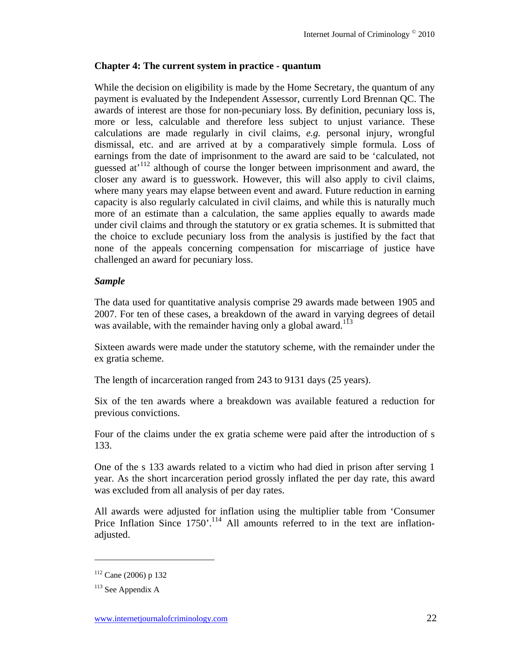## **Chapter 4: The current system in practice - quantum**

While the decision on eligibility is made by the Home Secretary, the quantum of any payment is evaluated by the Independent Assessor, currently Lord Brennan QC. The awards of interest are those for non-pecuniary loss. By definition, pecuniary loss is, more or less, calculable and therefore less subject to unjust variance. These calculations are made regularly in civil claims, *e.g.* personal injury, wrongful dismissal, etc. and are arrived at by a comparatively simple formula. Loss of earnings from the date of imprisonment to the award are said to be 'calculated, not guessed at<sup>112</sup> although of course the longer between imprisonment and award, the closer any award is to guesswork. However, this will also apply to civil claims, where many years may elapse between event and award. Future reduction in earning capacity is also regularly calculated in civil claims, and while this is naturally much more of an estimate than a calculation, the same applies equally to awards made under civil claims and through the statutory or ex gratia schemes. It is submitted that the choice to exclude pecuniary loss from the analysis is justified by the fact that none of the appeals concerning compensation for miscarriage of justice have challenged an award for pecuniary loss.

## *Sample*

The data used for quantitative analysis comprise 29 awards made between 1905 and 2007. For ten of these cases, a breakdown of the award in varying degrees of detail was available, with the remainder having only a global award.<sup>113</sup>

Sixteen awards were made under the statutory scheme, with the remainder under the ex gratia scheme.

The length of incarceration ranged from 243 to 9131 days (25 years).

Six of the ten awards where a breakdown was available featured a reduction for previous convictions.

Four of the claims under the ex gratia scheme were paid after the introduction of s 133.

One of the s 133 awards related to a victim who had died in prison after serving 1 year. As the short incarceration period grossly inflated the per day rate, this award was excluded from all analysis of per day rates.

All awards were adjusted for inflation using the multiplier table from 'Consumer Price Inflation Since  $1750'$ .<sup>114</sup> All amounts referred to in the text are inflationadjusted.

 $112$  Cane (2006) p 132

 $113$  See Appendix A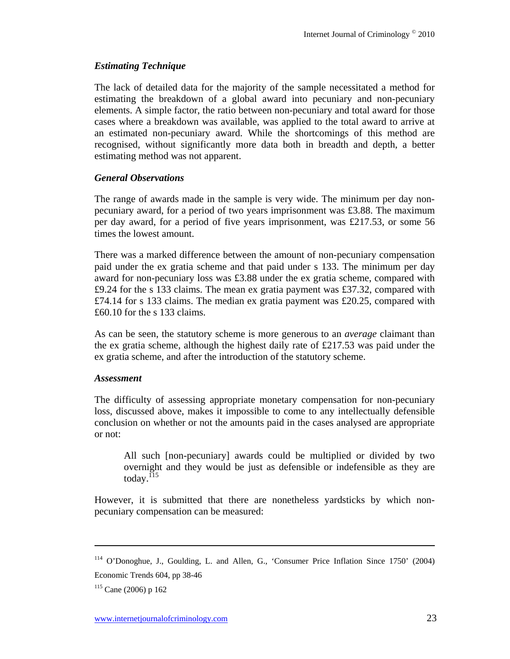## *Estimating Technique*

The lack of detailed data for the majority of the sample necessitated a method for estimating the breakdown of a global award into pecuniary and non-pecuniary elements. A simple factor, the ratio between non-pecuniary and total award for those cases where a breakdown was available, was applied to the total award to arrive at an estimated non-pecuniary award. While the shortcomings of this method are recognised, without significantly more data both in breadth and depth, a better estimating method was not apparent.

## *General Observations*

The range of awards made in the sample is very wide. The minimum per day nonpecuniary award, for a period of two years imprisonment was £3.88. The maximum per day award, for a period of five years imprisonment, was £217.53, or some 56 times the lowest amount.

There was a marked difference between the amount of non-pecuniary compensation paid under the ex gratia scheme and that paid under s 133. The minimum per day award for non-pecuniary loss was £3.88 under the ex gratia scheme, compared with £9.24 for the s 133 claims. The mean ex gratia payment was £37.32, compared with £74.14 for s 133 claims. The median ex gratia payment was £20.25, compared with £60.10 for the s 133 claims.

As can be seen, the statutory scheme is more generous to an *average* claimant than the ex gratia scheme, although the highest daily rate of £217.53 was paid under the ex gratia scheme, and after the introduction of the statutory scheme.

#### *Assessment*

The difficulty of assessing appropriate monetary compensation for non-pecuniary loss, discussed above, makes it impossible to come to any intellectually defensible conclusion on whether or not the amounts paid in the cases analysed are appropriate or not:

All such [non-pecuniary] awards could be multiplied or divided by two overnight and they would be just as defensible or indefensible as they are today. $^{115}$ 

However, it is submitted that there are nonetheless yardsticks by which nonpecuniary compensation can be measured:

<sup>114</sup> O'Donoghue, J., Goulding, L. and Allen, G., 'Consumer Price Inflation Since 1750' (2004) Economic Trends 604, pp 38-46

 $115$  Cane (2006) p 162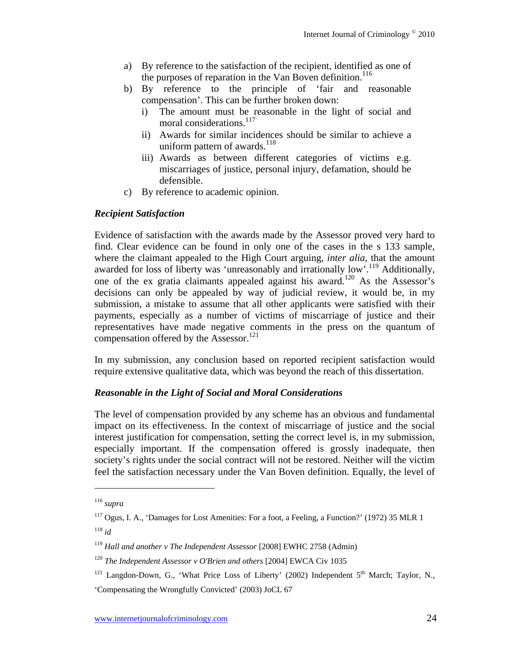- a) By reference to the satisfaction of the recipient, identified as one of the purposes of reparation in the Van Boven definition.<sup>116</sup>
- b) By reference to the principle of 'fair and reasonable compensation'. This can be further broken down:
	- i) The amount must be reasonable in the light of social and moral considerations.<sup>117</sup>
	- ii) Awards for similar incidences should be similar to achieve a uniform pattern of awards.<sup>118</sup>
	- iii) Awards as between different categories of victims e.g. miscarriages of justice, personal injury, defamation, should be defensible.
- c) By reference to academic opinion.

## *Recipient Satisfaction*

Evidence of satisfaction with the awards made by the Assessor proved very hard to find. Clear evidence can be found in only one of the cases in the s 133 sample, where the claimant appealed to the High Court arguing, *inter alia*, that the amount awarded for loss of liberty was 'unreasonably and irrationally low'.<sup>119</sup> Additionally, one of the ex gratia claimants appealed against his award.120 As the Assessor's decisions can only be appealed by way of judicial review, it would be, in my submission, a mistake to assume that all other applicants were satisfied with their payments, especially as a number of victims of miscarriage of justice and their representatives have made negative comments in the press on the quantum of compensation offered by the Assessor.<sup>121</sup>

In my submission, any conclusion based on reported recipient satisfaction would require extensive qualitative data, which was beyond the reach of this dissertation.

## *Reasonable in the Light of Social and Moral Considerations*

The level of compensation provided by any scheme has an obvious and fundamental impact on its effectiveness. In the context of miscarriage of justice and the social interest justification for compensation, setting the correct level is, in my submission, especially important. If the compensation offered is grossly inadequate, then society's rights under the social contract will not be restored. Neither will the victim feel the satisfaction necessary under the Van Boven definition. Equally, the level of

<sup>116</sup> *supra*

<sup>&</sup>lt;sup>117</sup> Ogus, I. A., 'Damages for Lost Amenities: For a foot, a Feeling, a Function?' (1972) 35 MLR 1 <sup>118</sup> *id*

<sup>119</sup> *Hall and another v The Independent Assessor* [2008] EWHC 2758 (Admin)

<sup>120</sup> *The Independent Assessor v O'Brien and others* [2004] EWCA Civ 1035

<sup>&</sup>lt;sup>121</sup> Langdon-Down, G., 'What Price Loss of Liberty' (2002) Independent  $5<sup>th</sup>$  March; Taylor, N., 'Compensating the Wrongfully Convicted' (2003) JoCL 67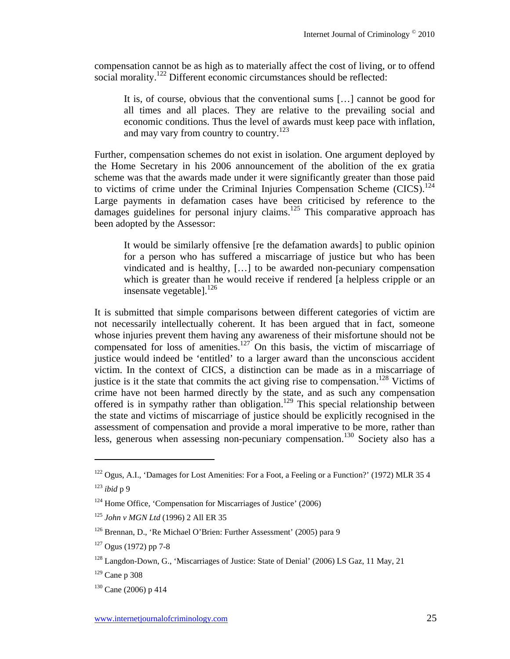compensation cannot be as high as to materially affect the cost of living, or to offend social morality.<sup>122</sup> Different economic circumstances should be reflected:

It is, of course, obvious that the conventional sums […] cannot be good for all times and all places. They are relative to the prevailing social and economic conditions. Thus the level of awards must keep pace with inflation, and may vary from country to country.<sup>123</sup>

Further, compensation schemes do not exist in isolation. One argument deployed by the Home Secretary in his 2006 announcement of the abolition of the ex gratia scheme was that the awards made under it were significantly greater than those paid to victims of crime under the Criminal Injuries Compensation Scheme  $(CICS)$ .<sup>124</sup> Large payments in defamation cases have been criticised by reference to the damages guidelines for personal injury claims.<sup>125</sup> This comparative approach has been adopted by the Assessor:

It would be similarly offensive [re the defamation awards] to public opinion for a person who has suffered a miscarriage of justice but who has been vindicated and is healthy, […] to be awarded non-pecuniary compensation which is greater than he would receive if rendered [a helpless cripple or an insensate vegetable].<sup>126</sup>

It is submitted that simple comparisons between different categories of victim are not necessarily intellectually coherent. It has been argued that in fact, someone whose injuries prevent them having any awareness of their misfortune should not be compensated for loss of amenities.<sup>127</sup> On this basis, the victim of miscarriage of justice would indeed be 'entitled' to a larger award than the unconscious accident victim. In the context of CICS, a distinction can be made as in a miscarriage of justice is it the state that commits the act giving rise to compensation.<sup>128</sup> Victims of crime have not been harmed directly by the state, and as such any compensation offered is in sympathy rather than obligation.129 This special relationship between the state and victims of miscarriage of justice should be explicitly recognised in the assessment of compensation and provide a moral imperative to be more, rather than less, generous when assessing non-pecuniary compensation.<sup>130</sup> Society also has a

<sup>&</sup>lt;sup>122</sup> Ogus, A.I., 'Damages for Lost Amenities: For a Foot, a Feeling or a Function?' (1972) MLR 35 4

<sup>123</sup> *ibid* p 9

<sup>124</sup> Home Office, 'Compensation for Miscarriages of Justice' (2006)

<sup>125</sup> *John v MGN Ltd* (1996) 2 All ER 35

<sup>126</sup> Brennan, D., 'Re Michael O'Brien: Further Assessment' (2005) para 9

<sup>127</sup> Ogus (1972) pp 7-8

<sup>&</sup>lt;sup>128</sup> Langdon-Down, G., 'Miscarriages of Justice: State of Denial' (2006) LS Gaz, 11 May, 21

 $129$  Cane p 308

 $130$  Cane (2006) p 414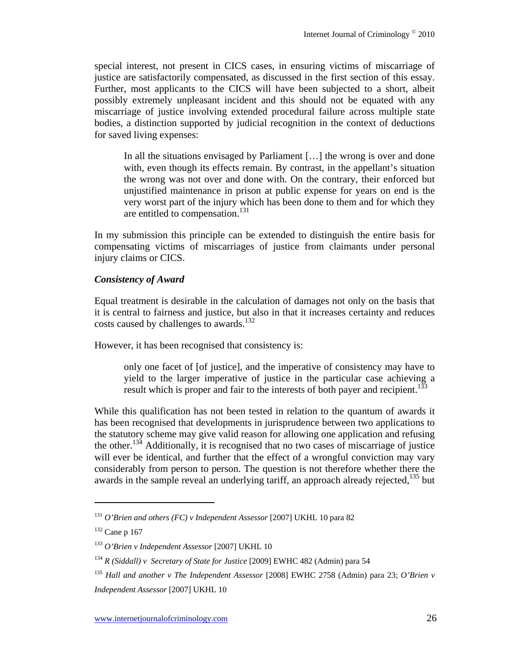special interest, not present in CICS cases, in ensuring victims of miscarriage of justice are satisfactorily compensated, as discussed in the first section of this essay. Further, most applicants to the CICS will have been subjected to a short, albeit possibly extremely unpleasant incident and this should not be equated with any miscarriage of justice involving extended procedural failure across multiple state bodies, a distinction supported by judicial recognition in the context of deductions for saved living expenses:

In all the situations envisaged by Parliament […] the wrong is over and done with, even though its effects remain. By contrast, in the appellant's situation the wrong was not over and done with. On the contrary, their enforced but unjustified maintenance in prison at public expense for years on end is the very worst part of the injury which has been done to them and for which they are entitled to compensation.<sup>131</sup>

In my submission this principle can be extended to distinguish the entire basis for compensating victims of miscarriages of justice from claimants under personal injury claims or CICS.

# *Consistency of Award*

Equal treatment is desirable in the calculation of damages not only on the basis that it is central to fairness and justice, but also in that it increases certainty and reduces costs caused by challenges to awards.<sup>132</sup>

However, it has been recognised that consistency is:

only one facet of [of justice], and the imperative of consistency may have to yield to the larger imperative of justice in the particular case achieving a result which is proper and fair to the interests of both payer and recipient.<sup>133</sup>

While this qualification has not been tested in relation to the quantum of awards it has been recognised that developments in jurisprudence between two applications to the statutory scheme may give valid reason for allowing one application and refusing the other.134 Additionally, it is recognised that no two cases of miscarriage of justice will ever be identical, and further that the effect of a wrongful conviction may vary considerably from person to person. The question is not therefore whether there the awards in the sample reveal an underlying tariff, an approach already rejected,<sup>135</sup> but

<sup>131</sup> *O'Brien and others (FC) v Independent Assessor* [2007] UKHL 10 para 82

 $132$  Cane p 167

<sup>133</sup> *O'Brien v Independent Assessor* [2007] UKHL 10

<sup>134</sup> *R (Siddall) v Secretary of State for Justice* [2009] EWHC 482 (Admin) para 54

<sup>135</sup> *Hall and another v The Independent Assessor* [2008] EWHC 2758 (Admin) para 23; *O'Brien v Independent Assessor* [2007] UKHL 10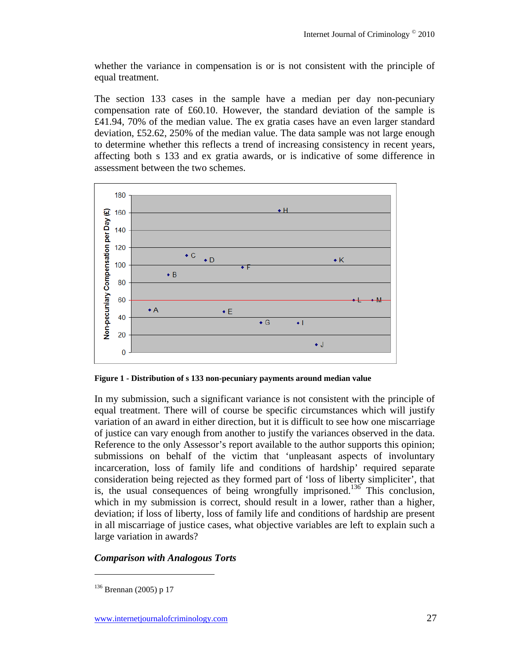whether the variance in compensation is or is not consistent with the principle of equal treatment.

The section 133 cases in the sample have a median per day non-pecuniary compensation rate of £60.10. However, the standard deviation of the sample is £41.94, 70% of the median value. The ex gratia cases have an even larger standard deviation, £52.62, 250% of the median value. The data sample was not large enough to determine whether this reflects a trend of increasing consistency in recent years, affecting both s 133 and ex gratia awards, or is indicative of some difference in assessment between the two schemes.



**Figure 1 - Distribution of s 133 non-pecuniary payments around median value** 

In my submission, such a significant variance is not consistent with the principle of equal treatment. There will of course be specific circumstances which will justify variation of an award in either direction, but it is difficult to see how one miscarriage of justice can vary enough from another to justify the variances observed in the data. Reference to the only Assessor's report available to the author supports this opinion; submissions on behalf of the victim that 'unpleasant aspects of involuntary incarceration, loss of family life and conditions of hardship' required separate consideration being rejected as they formed part of 'loss of liberty simpliciter', that is, the usual consequences of being wrongfully imprisoned.<sup>136</sup> This conclusion, which in my submission is correct, should result in a lower, rather than a higher, deviation; if loss of liberty, loss of family life and conditions of hardship are present in all miscarriage of justice cases, what objective variables are left to explain such a large variation in awards?

# *Comparison with Analogous Torts*

<sup>136</sup> Brennan (2005) p 17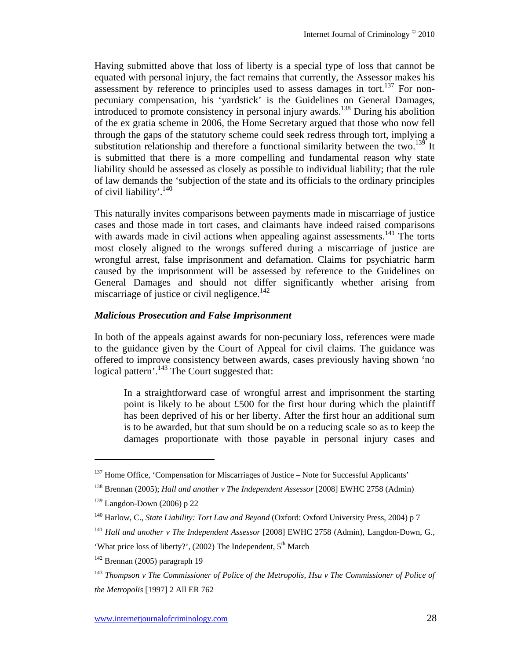Having submitted above that loss of liberty is a special type of loss that cannot be equated with personal injury, the fact remains that currently, the Assessor makes his assessment by reference to principles used to assess damages in tort.<sup>137</sup> For nonpecuniary compensation, his 'yardstick' is the Guidelines on General Damages, introduced to promote consistency in personal injury awards.<sup>138</sup> During his abolition of the ex gratia scheme in 2006, the Home Secretary argued that those who now fell through the gaps of the statutory scheme could seek redress through tort, implying a substitution relationship and therefore a functional similarity between the two.<sup>139</sup> It is submitted that there is a more compelling and fundamental reason why state liability should be assessed as closely as possible to individual liability; that the rule of law demands the 'subjection of the state and its officials to the ordinary principles of civil liability'.<sup>140</sup>

This naturally invites comparisons between payments made in miscarriage of justice cases and those made in tort cases, and claimants have indeed raised comparisons with awards made in civil actions when appealing against assessments.<sup>141</sup> The torts most closely aligned to the wrongs suffered during a miscarriage of justice are wrongful arrest, false imprisonment and defamation. Claims for psychiatric harm caused by the imprisonment will be assessed by reference to the Guidelines on General Damages and should not differ significantly whether arising from miscarriage of justice or civil negligence. $142$ 

#### *Malicious Prosecution and False Imprisonment*

In both of the appeals against awards for non-pecuniary loss, references were made to the guidance given by the Court of Appeal for civil claims. The guidance was offered to improve consistency between awards, cases previously having shown 'no logical pattern'.<sup>143</sup> The Court suggested that:

In a straightforward case of wrongful arrest and imprisonment the starting point is likely to be about £500 for the first hour during which the plaintiff has been deprived of his or her liberty. After the first hour an additional sum is to be awarded, but that sum should be on a reducing scale so as to keep the damages proportionate with those payable in personal injury cases and

<sup>&</sup>lt;sup>137</sup> Home Office, 'Compensation for Miscarriages of Justice – Note for Successful Applicants'

<sup>138</sup> Brennan (2005); *Hall and another v The Independent Assessor* [2008] EWHC 2758 (Admin)

 $139$  Langdon-Down (2006) p 22

<sup>140</sup> Harlow, C., *State Liability: Tort Law and Beyond* (Oxford: Oxford University Press, 2004) p 7

<sup>141</sup> *Hall and another v The Independent Assessor* [2008] EWHC 2758 (Admin), Langdon-Down, G.,

<sup>&#</sup>x27;What price loss of liberty?', (2002) The Independent, 5<sup>th</sup> March

 $142$  Brennan (2005) paragraph 19

<sup>143</sup> *Thompson v The Commissioner of Police of the Metropolis, Hsu v The Commissioner of Police of the Metropolis* [1997] 2 All ER 762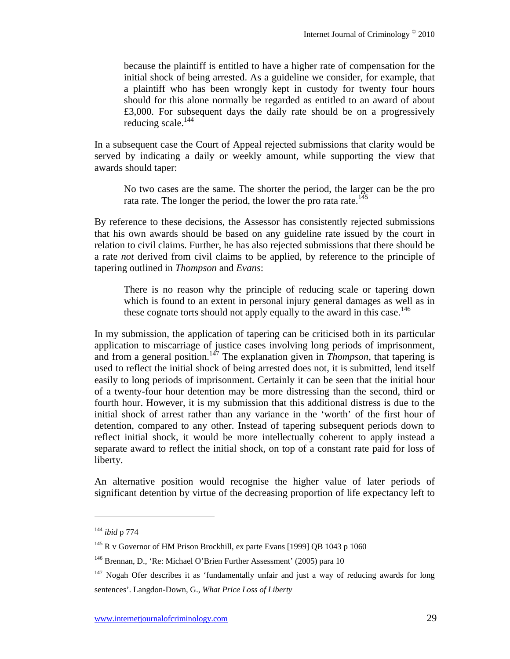because the plaintiff is entitled to have a higher rate of compensation for the initial shock of being arrested. As a guideline we consider, for example, that a plaintiff who has been wrongly kept in custody for twenty four hours should for this alone normally be regarded as entitled to an award of about £3,000. For subsequent days the daily rate should be on a progressively reducing scale.<sup>144</sup>

In a subsequent case the Court of Appeal rejected submissions that clarity would be served by indicating a daily or weekly amount, while supporting the view that awards should taper:

No two cases are the same. The shorter the period, the larger can be the pro rata rate. The longer the period, the lower the pro rata rate.<sup>145</sup>

By reference to these decisions, the Assessor has consistently rejected submissions that his own awards should be based on any guideline rate issued by the court in relation to civil claims. Further, he has also rejected submissions that there should be a rate *not* derived from civil claims to be applied, by reference to the principle of tapering outlined in *Thompson* and *Evans*:

There is no reason why the principle of reducing scale or tapering down which is found to an extent in personal injury general damages as well as in these cognate torts should not apply equally to the award in this case.<sup>146</sup>

In my submission, the application of tapering can be criticised both in its particular application to miscarriage of justice cases involving long periods of imprisonment, and from a general position.<sup>147</sup> The explanation given in *Thompson*, that tapering is used to reflect the initial shock of being arrested does not, it is submitted, lend itself easily to long periods of imprisonment. Certainly it can be seen that the initial hour of a twenty-four hour detention may be more distressing than the second, third or fourth hour. However, it is my submission that this additional distress is due to the initial shock of arrest rather than any variance in the 'worth' of the first hour of detention, compared to any other. Instead of tapering subsequent periods down to reflect initial shock, it would be more intellectually coherent to apply instead a separate award to reflect the initial shock, on top of a constant rate paid for loss of liberty.

An alternative position would recognise the higher value of later periods of significant detention by virtue of the decreasing proportion of life expectancy left to

<sup>144</sup> *ibid* p 774

<sup>&</sup>lt;sup>145</sup> R v Governor of HM Prison Brockhill, ex parte Evans [1999] QB 1043 p 1060

<sup>&</sup>lt;sup>146</sup> Brennan, D., 'Re: Michael O'Brien Further Assessment' (2005) para 10

 $147$  Nogah Ofer describes it as 'fundamentally unfair and just a way of reducing awards for long sentences'. Langdon-Down, G., *What Price Loss of Liberty*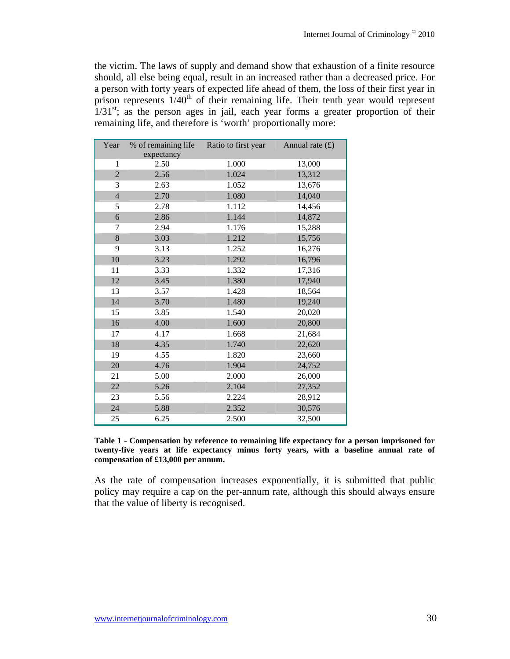the victim. The laws of supply and demand show that exhaustion of a finite resource should, all else being equal, result in an increased rather than a decreased price. For a person with forty years of expected life ahead of them, the loss of their first year in prison represents  $1/40<sup>th</sup>$  of their remaining life. Their tenth year would represent  $1/31<sup>st</sup>$ ; as the person ages in jail, each year forms a greater proportion of their remaining life, and therefore is 'worth' proportionally more:

| Year           | % of remaining life | Ratio to first year | Annual rate $(f)$ |
|----------------|---------------------|---------------------|-------------------|
|                | expectancy          |                     |                   |
| 1              | 2.50                | 1.000               | 13,000            |
| $\overline{2}$ | 2.56                | 1.024               | 13,312            |
| 3              | 2.63                | 1.052               | 13,676            |
| $\overline{4}$ | 2.70                | 1.080               | 14,040            |
| 5              | 2.78                | 1.112               | 14,456            |
| 6              | 2.86                | 1.144               | 14,872            |
| 7              | 2.94                | 1.176               | 15,288            |
| 8              | 3.03                | 1.212               | 15,756            |
| 9              | 3.13                | 1.252               | 16,276            |
| 10             | 3.23                | 1.292               | 16,796            |
| 11             | 3.33                | 1.332               | 17,316            |
| 12             | 3.45                | 1.380               | 17,940            |
| 13             | 3.57                | 1.428               | 18,564            |
| 14             | 3.70                | 1.480               | 19,240            |
| 15             | 3.85                | 1.540               | 20,020            |
| 16             | 4.00                | 1.600               | 20,800            |
| 17             | 4.17                | 1.668               | 21,684            |
| $18\,$         | 4.35                | 1.740               | 22,620            |
| 19             | 4.55                | 1.820               | 23,660            |
| 20             | 4.76                | 1.904               | 24,752            |
| 21             | 5.00                | 2.000               | 26,000            |
| 22             | 5.26                | 2.104               | 27,352            |
| 23             | 5.56                | 2.224               | 28,912            |
| 24             | 5.88                | 2.352               | 30,576            |
| 25             | 6.25                | 2.500               | 32,500            |

**Table 1 - Compensation by reference to remaining life expectancy for a person imprisoned for twenty-five years at life expectancy minus forty years, with a baseline annual rate of compensation of £13,000 per annum.** 

As the rate of compensation increases exponentially, it is submitted that public policy may require a cap on the per-annum rate, although this should always ensure that the value of liberty is recognised.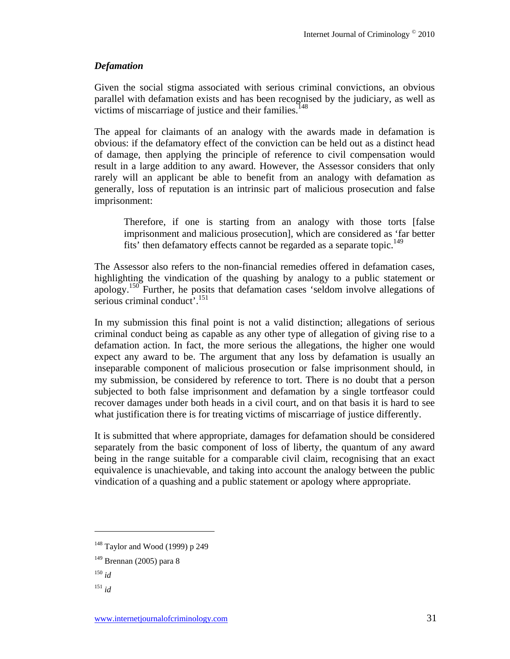## *Defamation*

Given the social stigma associated with serious criminal convictions, an obvious parallel with defamation exists and has been recognised by the judiciary, as well as victims of miscarriage of justice and their families.<sup>148</sup>

The appeal for claimants of an analogy with the awards made in defamation is obvious: if the defamatory effect of the conviction can be held out as a distinct head of damage, then applying the principle of reference to civil compensation would result in a large addition to any award. However, the Assessor considers that only rarely will an applicant be able to benefit from an analogy with defamation as generally, loss of reputation is an intrinsic part of malicious prosecution and false imprisonment:

Therefore, if one is starting from an analogy with those torts [false imprisonment and malicious prosecution], which are considered as 'far better fits' then defamatory effects cannot be regarded as a separate topic.<sup>149</sup>

The Assessor also refers to the non-financial remedies offered in defamation cases, highlighting the vindication of the quashing by analogy to a public statement or apology.150 Further, he posits that defamation cases 'seldom involve allegations of serious criminal conduct'.<sup>151</sup>

In my submission this final point is not a valid distinction; allegations of serious criminal conduct being as capable as any other type of allegation of giving rise to a defamation action. In fact, the more serious the allegations, the higher one would expect any award to be. The argument that any loss by defamation is usually an inseparable component of malicious prosecution or false imprisonment should, in my submission, be considered by reference to tort. There is no doubt that a person subjected to both false imprisonment and defamation by a single tortfeasor could recover damages under both heads in a civil court, and on that basis it is hard to see what justification there is for treating victims of miscarriage of justice differently.

It is submitted that where appropriate, damages for defamation should be considered separately from the basic component of loss of liberty, the quantum of any award being in the range suitable for a comparable civil claim, recognising that an exact equivalence is unachievable, and taking into account the analogy between the public vindication of a quashing and a public statement or apology where appropriate.

<sup>148</sup> Taylor and Wood (1999) p 249

 $149$  Brennan (2005) para 8

<sup>150</sup> *id* 

<sup>151</sup> *id*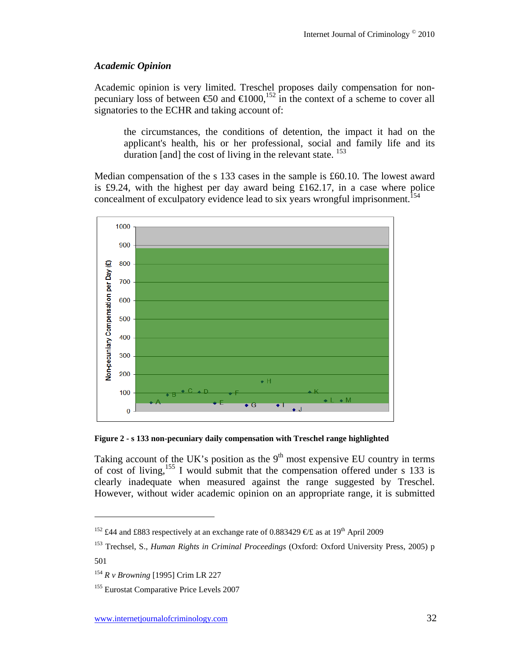## *Academic Opinion*

Academic opinion is very limited. Treschel proposes daily compensation for nonpecuniary loss of between  $60$  and  $61000$ ,<sup>152</sup> in the context of a scheme to cover all signatories to the ECHR and taking account of:

the circumstances, the conditions of detention, the impact it had on the applicant's health, his or her professional, social and family life and its duration [and] the cost of living in the relevant state. <sup>153</sup>

Median compensation of the s 133 cases in the sample is £60.10. The lowest award is £9.24, with the highest per day award being £162.17, in a case where police concealment of exculpatory evidence lead to six years wrongful imprisonment.<sup>154</sup>



**Figure 2 - s 133 non-pecuniary daily compensation with Treschel range highlighted** 

Taking account of the UK's position as the  $9<sup>th</sup>$  most expensive EU country in terms of cost of living,<sup>155</sup> I would submit that the compensation offered under s 133 is clearly inadequate when measured against the range suggested by Treschel. However, without wider academic opinion on an appropriate range, it is submitted

<sup>&</sup>lt;sup>152</sup> £44 and £883 respectively at an exchange rate of 0.883429  $\epsilon$ £ as at 19<sup>th</sup> April 2009

<sup>153</sup> Trechsel, S., *Human Rights in Criminal Proceedings* (Oxford: Oxford University Press, 2005) p 501

<sup>154</sup> *R v Browning* [1995] Crim LR 227

<sup>&</sup>lt;sup>155</sup> Eurostat Comparative Price Levels 2007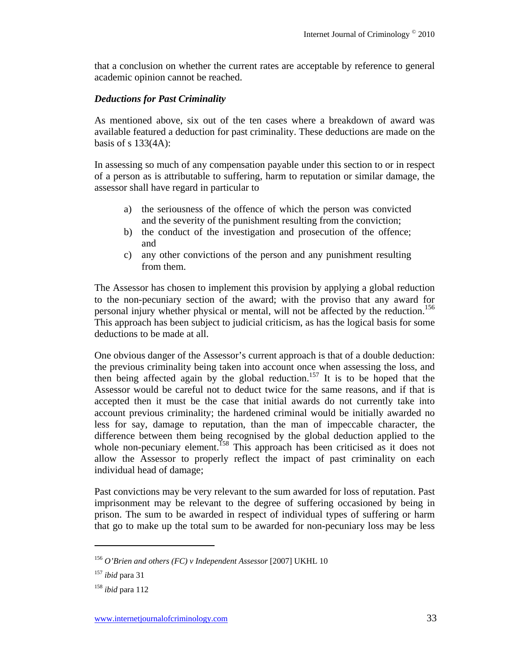that a conclusion on whether the current rates are acceptable by reference to general academic opinion cannot be reached.

#### *Deductions for Past Criminality*

As mentioned above, six out of the ten cases where a breakdown of award was available featured a deduction for past criminality. These deductions are made on the basis of s  $133(4A)$ :

In assessing so much of any compensation payable under this section to or in respect of a person as is attributable to suffering, harm to reputation or similar damage, the assessor shall have regard in particular to

- a) the seriousness of the offence of which the person was convicted and the severity of the punishment resulting from the conviction;
- b) the conduct of the investigation and prosecution of the offence; and
- c) any other convictions of the person and any punishment resulting from them.

The Assessor has chosen to implement this provision by applying a global reduction to the non-pecuniary section of the award; with the proviso that any award for personal injury whether physical or mental, will not be affected by the reduction.<sup>156</sup> This approach has been subject to judicial criticism, as has the logical basis for some deductions to be made at all.

One obvious danger of the Assessor's current approach is that of a double deduction: the previous criminality being taken into account once when assessing the loss, and then being affected again by the global reduction.<sup>157</sup> It is to be hoped that the Assessor would be careful not to deduct twice for the same reasons, and if that is accepted then it must be the case that initial awards do not currently take into account previous criminality; the hardened criminal would be initially awarded no less for say, damage to reputation, than the man of impeccable character, the difference between them being recognised by the global deduction applied to the whole non-pecuniary element.<sup>158</sup> This approach has been criticised as it does not allow the Assessor to properly reflect the impact of past criminality on each individual head of damage;

Past convictions may be very relevant to the sum awarded for loss of reputation. Past imprisonment may be relevant to the degree of suffering occasioned by being in prison. The sum to be awarded in respect of individual types of suffering or harm that go to make up the total sum to be awarded for non-pecuniary loss may be less

<sup>156</sup> *O'Brien and others (FC) v Independent Assessor* [2007] UKHL 10

<sup>157</sup> *ibid* para 31

<sup>158</sup> *ibid* para 112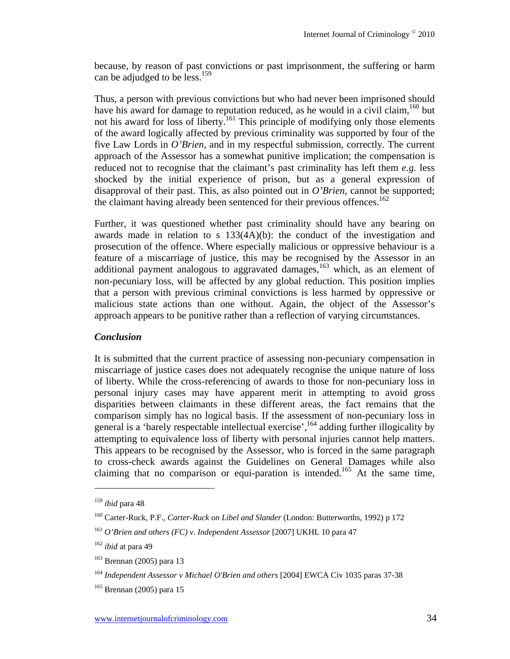because, by reason of past convictions or past imprisonment, the suffering or harm can be adjudged to be less.<sup>159</sup>

Thus, a person with previous convictions but who had never been imprisoned should have his award for damage to reputation reduced, as he would in a civil claim,<sup>160</sup> but not his award for loss of liberty.<sup>161</sup> This principle of modifying only those elements of the award logically affected by previous criminality was supported by four of the five Law Lords in *O'Brien*, and in my respectful submission, correctly. The current approach of the Assessor has a somewhat punitive implication; the compensation is reduced not to recognise that the claimant's past criminality has left them *e.g.* less shocked by the initial experience of prison, but as a general expression of disapproval of their past. This, as also pointed out in *O'Brien*, cannot be supported; the claimant having already been sentenced for their previous offences.<sup>162</sup>

Further, it was questioned whether past criminality should have any bearing on awards made in relation to s 133(4A)(b): the conduct of the investigation and prosecution of the offence. Where especially malicious or oppressive behaviour is a feature of a miscarriage of justice, this may be recognised by the Assessor in an additional payment analogous to aggravated damages, $163$  which, as an element of non-pecuniary loss, will be affected by any global reduction. This position implies that a person with previous criminal convictions is less harmed by oppressive or malicious state actions than one without. Again, the object of the Assessor's approach appears to be punitive rather than a reflection of varying circumstances.

#### *Conclusion*

It is submitted that the current practice of assessing non-pecuniary compensation in miscarriage of justice cases does not adequately recognise the unique nature of loss of liberty. While the cross-referencing of awards to those for non-pecuniary loss in personal injury cases may have apparent merit in attempting to avoid gross disparities between claimants in these different areas, the fact remains that the comparison simply has no logical basis. If the assessment of non-pecuniary loss in general is a 'barely respectable intellectual exercise',  $\frac{164}{164}$  adding further illogicality by attempting to equivalence loss of liberty with personal injuries cannot help matters. This appears to be recognised by the Assessor, who is forced in the same paragraph to cross-check awards against the Guidelines on General Damages while also claiming that no comparison or equi-paration is intended.<sup>165</sup> At the same time,

<sup>159</sup> *ibid* para 48

<sup>160</sup> Carter-Ruck, P.F., *Carter-Ruck on Libel and Slander* (London: Butterworths, 1992) p 172

<sup>161</sup> *O'Brien and others (FC) v. Independent Assessor* [2007] UKHL 10 para 47

<sup>162</sup> *ibid* at para 49

<sup>163</sup> Brennan (2005) para 13

<sup>164</sup> *Independent Assessor v Michael O'Brien and others* [2004] EWCA Civ 1035 paras 37-38

 $165$  Brennan (2005) para 15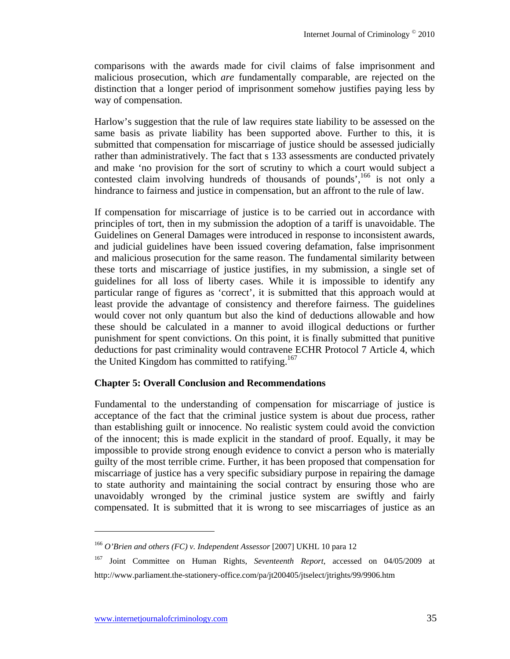comparisons with the awards made for civil claims of false imprisonment and malicious prosecution, which *are* fundamentally comparable, are rejected on the distinction that a longer period of imprisonment somehow justifies paying less by way of compensation.

Harlow's suggestion that the rule of law requires state liability to be assessed on the same basis as private liability has been supported above. Further to this, it is submitted that compensation for miscarriage of justice should be assessed judicially rather than administratively. The fact that s 133 assessments are conducted privately and make 'no provision for the sort of scrutiny to which a court would subject a contested claim involving hundreds of thousands of pounds',  $166$  is not only a hindrance to fairness and justice in compensation, but an affront to the rule of law.

If compensation for miscarriage of justice is to be carried out in accordance with principles of tort, then in my submission the adoption of a tariff is unavoidable. The Guidelines on General Damages were introduced in response to inconsistent awards, and judicial guidelines have been issued covering defamation, false imprisonment and malicious prosecution for the same reason. The fundamental similarity between these torts and miscarriage of justice justifies, in my submission, a single set of guidelines for all loss of liberty cases. While it is impossible to identify any particular range of figures as 'correct', it is submitted that this approach would at least provide the advantage of consistency and therefore fairness. The guidelines would cover not only quantum but also the kind of deductions allowable and how these should be calculated in a manner to avoid illogical deductions or further punishment for spent convictions. On this point, it is finally submitted that punitive deductions for past criminality would contravene ECHR Protocol 7 Article 4, which the United Kingdom has committed to ratifying.<sup>167</sup>

#### **Chapter 5: Overall Conclusion and Recommendations**

Fundamental to the understanding of compensation for miscarriage of justice is acceptance of the fact that the criminal justice system is about due process, rather than establishing guilt or innocence. No realistic system could avoid the conviction of the innocent; this is made explicit in the standard of proof. Equally, it may be impossible to provide strong enough evidence to convict a person who is materially guilty of the most terrible crime. Further, it has been proposed that compensation for miscarriage of justice has a very specific subsidiary purpose in repairing the damage to state authority and maintaining the social contract by ensuring those who are unavoidably wronged by the criminal justice system are swiftly and fairly compensated. It is submitted that it is wrong to see miscarriages of justice as an

<sup>166</sup> *O'Brien and others (FC) v. Independent Assessor* [2007] UKHL 10 para 12

<sup>167</sup> Joint Committee on Human Rights, *Seventeenth Report*, accessed on 04/05/2009 at http://www.parliament.the-stationery-office.com/pa/jt200405/jtselect/jtrights/99/9906.htm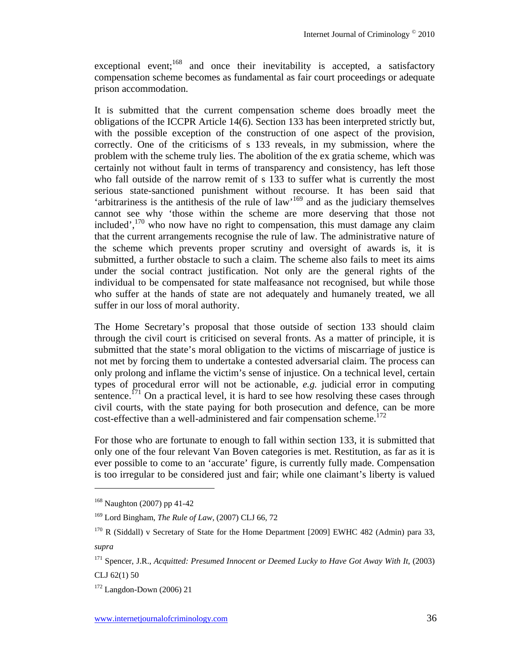exceptional event;<sup>168</sup> and once their inevitability is accepted, a satisfactory compensation scheme becomes as fundamental as fair court proceedings or adequate prison accommodation.

It is submitted that the current compensation scheme does broadly meet the obligations of the ICCPR Article 14(6). Section 133 has been interpreted strictly but, with the possible exception of the construction of one aspect of the provision, correctly. One of the criticisms of s 133 reveals, in my submission, where the problem with the scheme truly lies. The abolition of the ex gratia scheme, which was certainly not without fault in terms of transparency and consistency, has left those who fall outside of the narrow remit of s 133 to suffer what is currently the most serious state-sanctioned punishment without recourse. It has been said that 'arbitrariness is the antithesis of the rule of law'169 and as the judiciary themselves cannot see why 'those within the scheme are more deserving that those not included', $170$  who now have no right to compensation, this must damage any claim that the current arrangements recognise the rule of law. The administrative nature of the scheme which prevents proper scrutiny and oversight of awards is, it is submitted, a further obstacle to such a claim. The scheme also fails to meet its aims under the social contract justification. Not only are the general rights of the individual to be compensated for state malfeasance not recognised, but while those who suffer at the hands of state are not adequately and humanely treated, we all suffer in our loss of moral authority.

The Home Secretary's proposal that those outside of section 133 should claim through the civil court is criticised on several fronts. As a matter of principle, it is submitted that the state's moral obligation to the victims of miscarriage of justice is not met by forcing them to undertake a contested adversarial claim. The process can only prolong and inflame the victim's sense of injustice. On a technical level, certain types of procedural error will not be actionable, *e.g.* judicial error in computing sentence.<sup> $71$ </sup> On a practical level, it is hard to see how resolving these cases through civil courts, with the state paying for both prosecution and defence, can be more cost-effective than a well-administered and fair compensation scheme.<sup>172</sup>

For those who are fortunate to enough to fall within section 133, it is submitted that only one of the four relevant Van Boven categories is met. Restitution, as far as it is ever possible to come to an 'accurate' figure, is currently fully made. Compensation is too irregular to be considered just and fair; while one claimant's liberty is valued

CLJ 62(1) 50

<sup>168</sup> Naughton (2007) pp 41-42

<sup>169</sup> Lord Bingham, *The Rule of Law*, (2007) CLJ 66, 72

<sup>&</sup>lt;sup>170</sup> R (Siddall) v Secretary of State for the Home Department [2009] EWHC 482 (Admin) para 33, *supra*

<sup>&</sup>lt;sup>171</sup> Spencer, J.R., *Acquitted: Presumed Innocent or Deemed Lucky to Have Got Away With It*, (2003)

 $172$  Langdon-Down (2006) 21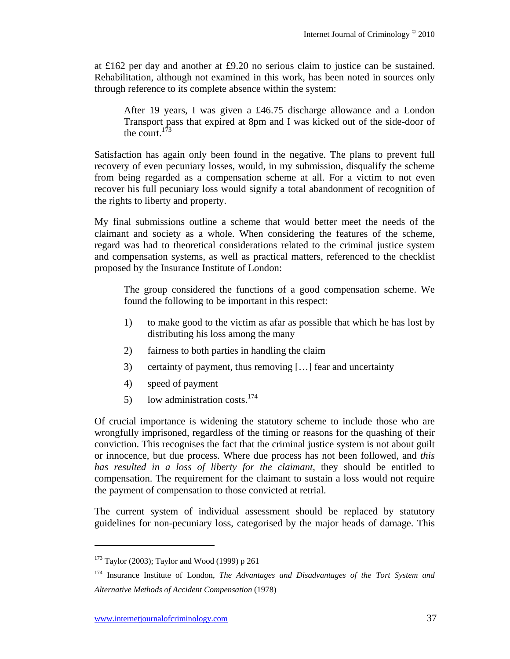at £162 per day and another at £9.20 no serious claim to justice can be sustained. Rehabilitation, although not examined in this work, has been noted in sources only through reference to its complete absence within the system:

After 19 years, I was given a £46.75 discharge allowance and a London Transport pass that expired at 8pm and I was kicked out of the side-door of the court.173

Satisfaction has again only been found in the negative. The plans to prevent full recovery of even pecuniary losses, would, in my submission, disqualify the scheme from being regarded as a compensation scheme at all. For a victim to not even recover his full pecuniary loss would signify a total abandonment of recognition of the rights to liberty and property.

My final submissions outline a scheme that would better meet the needs of the claimant and society as a whole. When considering the features of the scheme, regard was had to theoretical considerations related to the criminal justice system and compensation systems, as well as practical matters, referenced to the checklist proposed by the Insurance Institute of London:

The group considered the functions of a good compensation scheme. We found the following to be important in this respect:

- 1) to make good to the victim as afar as possible that which he has lost by distributing his loss among the many
- 2) fairness to both parties in handling the claim
- 3) certainty of payment, thus removing […] fear and uncertainty
- 4) speed of payment
- 5) low administration costs.<sup>174</sup>

Of crucial importance is widening the statutory scheme to include those who are wrongfully imprisoned, regardless of the timing or reasons for the quashing of their conviction. This recognises the fact that the criminal justice system is not about guilt or innocence, but due process. Where due process has not been followed, and *this has resulted in a loss of liberty for the claimant*, they should be entitled to compensation. The requirement for the claimant to sustain a loss would not require the payment of compensation to those convicted at retrial.

The current system of individual assessment should be replaced by statutory guidelines for non-pecuniary loss, categorised by the major heads of damage. This

 $173$  Taylor (2003): Taylor and Wood (1999) p 261

<sup>174</sup> Insurance Institute of London, *The Advantages and Disadvantages of the Tort System and Alternative Methods of Accident Compensation* (1978)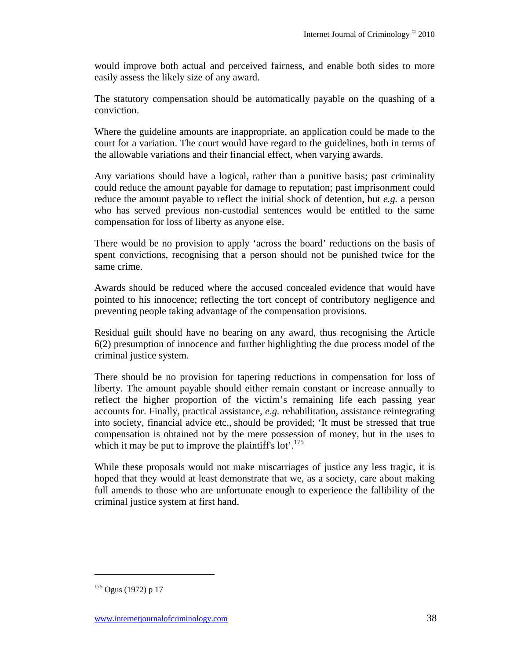would improve both actual and perceived fairness, and enable both sides to more easily assess the likely size of any award.

The statutory compensation should be automatically payable on the quashing of a conviction.

Where the guideline amounts are inappropriate, an application could be made to the court for a variation. The court would have regard to the guidelines, both in terms of the allowable variations and their financial effect, when varying awards.

Any variations should have a logical, rather than a punitive basis; past criminality could reduce the amount payable for damage to reputation; past imprisonment could reduce the amount payable to reflect the initial shock of detention, but *e.g.* a person who has served previous non-custodial sentences would be entitled to the same compensation for loss of liberty as anyone else.

There would be no provision to apply 'across the board' reductions on the basis of spent convictions, recognising that a person should not be punished twice for the same crime.

Awards should be reduced where the accused concealed evidence that would have pointed to his innocence; reflecting the tort concept of contributory negligence and preventing people taking advantage of the compensation provisions.

Residual guilt should have no bearing on any award, thus recognising the Article 6(2) presumption of innocence and further highlighting the due process model of the criminal justice system.

There should be no provision for tapering reductions in compensation for loss of liberty. The amount payable should either remain constant or increase annually to reflect the higher proportion of the victim's remaining life each passing year accounts for. Finally, practical assistance, *e.g.* rehabilitation, assistance reintegrating into society, financial advice etc., should be provided; 'It must be stressed that true compensation is obtained not by the mere possession of money, but in the uses to which it may be put to improve the plaintiff's lot'.<sup>175</sup>

While these proposals would not make miscarriages of justice any less tragic, it is hoped that they would at least demonstrate that we, as a society, care about making full amends to those who are unfortunate enough to experience the fallibility of the criminal justice system at first hand.

<sup>175</sup> Ogus (1972) p 17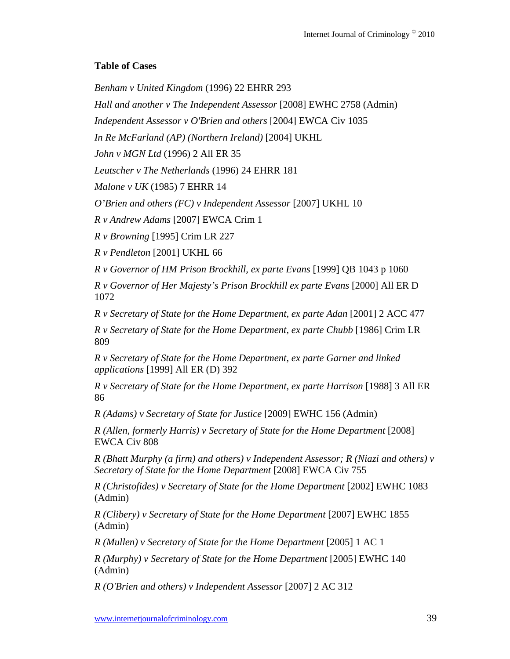## **Table of Cases**

*Benham v United Kingdom* (1996) 22 EHRR 293

*Hall and another v The Independent Assessor* [2008] EWHC 2758 (Admin)

*Independent Assessor v O'Brien and others* [2004] EWCA Civ 1035

*In Re McFarland (AP) (Northern Ireland)* [2004] UKHL

*John v MGN Ltd* (1996) 2 All ER 35

*Leutscher v The Netherlands* (1996) 24 EHRR 181

*Malone v UK* (1985) 7 EHRR 14

*O'Brien and others (FC) v Independent Assessor* [2007] UKHL 10

*R v Andrew Adams* [2007] EWCA Crim 1

*R v Browning* [1995] Crim LR 227

*R v Pendleton* [2001] UKHL 66

*R v Governor of HM Prison Brockhill, ex parte Evans* [1999] QB 1043 p 1060

*R v Governor of Her Majesty's Prison Brockhill ex parte Evans* [2000] All ER D 1072

*R v Secretary of State for the Home Department, ex parte Adan* [2001] 2 ACC 477

*R v Secretary of State for the Home Department, ex parte Chubb* [1986] Crim LR 809

*R v Secretary of State for the Home Department, ex parte Garner and linked applications* [1999] All ER (D) 392

*R v Secretary of State for the Home Department, ex parte Harrison* [1988] 3 All ER 86

*R (Adams) v Secretary of State for Justice* [2009] EWHC 156 (Admin)

*R (Allen, formerly Harris) v Secretary of State for the Home Department* [2008] EWCA Civ 808

*R (Bhatt Murphy (a firm) and others) v Independent Assessor; R (Niazi and others) v Secretary of State for the Home Department* [2008] EWCA Civ 755

*R (Christofides) v Secretary of State for the Home Department* [2002] EWHC 1083 (Admin)

*R (Clibery) v Secretary of State for the Home Department* [2007] EWHC 1855 (Admin)

*R (Mullen) v Secretary of State for the Home Department* [2005] 1 AC 1

*R (Murphy) v Secretary of State for the Home Department* [2005] EWHC 140 (Admin)

*R (O'Brien and others) v Independent Assessor* [2007] 2 AC 312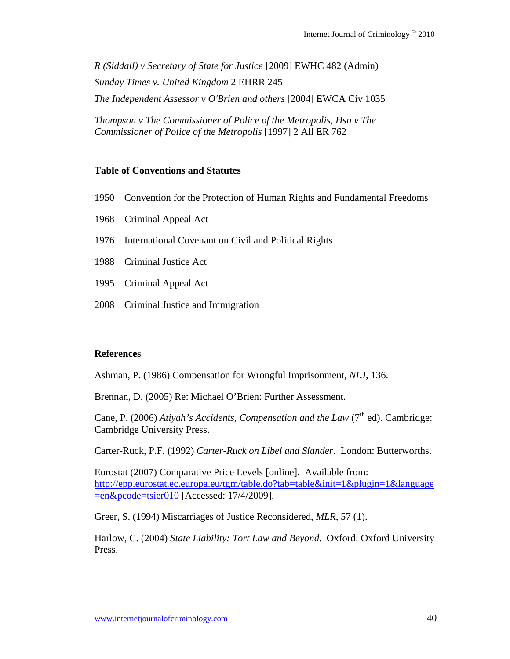*R (Siddall) v Secretary of State for Justice* [2009] EWHC 482 (Admin) *Sunday Times v. United Kingdom* 2 EHRR 245 *The Independent Assessor v O'Brien and others* [2004] EWCA Civ 1035

*Thompson v The Commissioner of Police of the Metropolis, Hsu v The Commissioner of Police of the Metropolis* [1997] 2 All ER 762

#### **Table of Conventions and Statutes**

- 1950 Convention for the Protection of Human Rights and Fundamental Freedoms
- 1968 Criminal Appeal Act
- 1976 International Covenant on Civil and Political Rights
- 1988 Criminal Justice Act
- 1995 Criminal Appeal Act
- 2008 Criminal Justice and Immigration

#### **References**

Ashman, P. (1986) Compensation for Wrongful Imprisonment, *NLJ*, 136.

Brennan, D. (2005) Re: Michael O'Brien: Further Assessment.

Cane, P. (2006) Atiyah's Accidents, Compensation and the Law (7<sup>th</sup> ed). Cambridge: Cambridge University Press.

Carter-Ruck, P.F. (1992) *Carter-Ruck on Libel and Slander*. London: Butterworths.

Eurostat (2007) Comparative Price Levels [online]. Available from: http://epp.eurostat.ec.europa.eu/tgm/table.do?tab=table&init=1&plugin=1&language =en&pcode=tsier010 [Accessed: 17/4/2009].

Greer, S. (1994) Miscarriages of Justice Reconsidered, *MLR*, 57 (1).

Harlow, C. (2004) *State Liability: Tort Law and Beyond.* Oxford: Oxford University Press.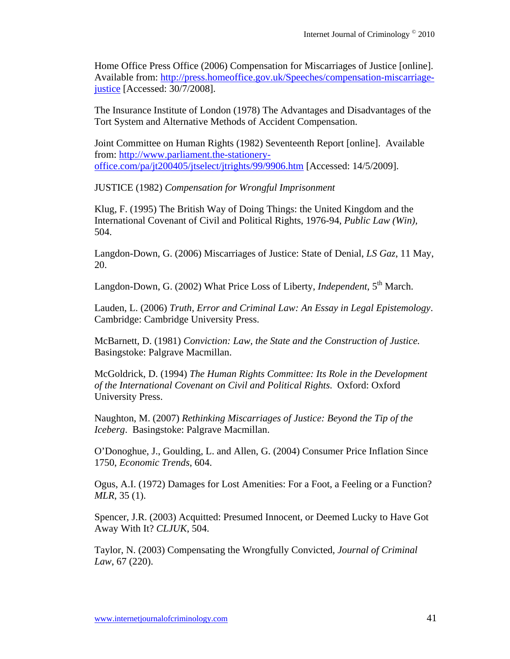Home Office Press Office (2006) Compensation for Miscarriages of Justice [online]. Available from: http://press.homeoffice.gov.uk/Speeches/compensation-miscarriagejustice [Accessed: 30/7/2008].

The Insurance Institute of London (1978) The Advantages and Disadvantages of the Tort System and Alternative Methods of Accident Compensation.

Joint Committee on Human Rights (1982) Seventeenth Report [online]. Available from: http://www.parliament.the-stationeryoffice.com/pa/jt200405/jtselect/jtrights/99/9906.htm [Accessed: 14/5/2009].

JUSTICE (1982) *Compensation for Wrongful Imprisonment*

Klug, F. (1995) The British Way of Doing Things: the United Kingdom and the International Covenant of Civil and Political Rights, 1976-94, *Public Law (Win),* 504.

Langdon-Down, G. (2006) Miscarriages of Justice: State of Denial, *LS Gaz*, 11 May, 20.

Langdon-Down, G. (2002) What Price Loss of Liberty, *Independent*, 5<sup>th</sup> March.

Lauden, L. (2006) *Truth, Error and Criminal Law: An Essay in Legal Epistemology*. Cambridge: Cambridge University Press.

McBarnett, D. (1981) *Conviction: Law, the State and the Construction of Justice.*  Basingstoke: Palgrave Macmillan.

McGoldrick, D. (1994) *The Human Rights Committee: Its Role in the Development of the International Covenant on Civil and Political Rights*. Oxford: Oxford University Press.

Naughton, M. (2007) *Rethinking Miscarriages of Justice: Beyond the Tip of the Iceberg*. Basingstoke: Palgrave Macmillan.

O'Donoghue, J., Goulding, L. and Allen, G. (2004) Consumer Price Inflation Since 1750, *Economic Trends*, 604.

Ogus, A.I. (1972) Damages for Lost Amenities: For a Foot, a Feeling or a Function? *MLR*, 35 (1).

Spencer, J.R. (2003) Acquitted: Presumed Innocent, or Deemed Lucky to Have Got Away With It? *CLJUK*, 504.

Taylor, N. (2003) Compensating the Wrongfully Convicted*, Journal of Criminal Law*, 67 (220).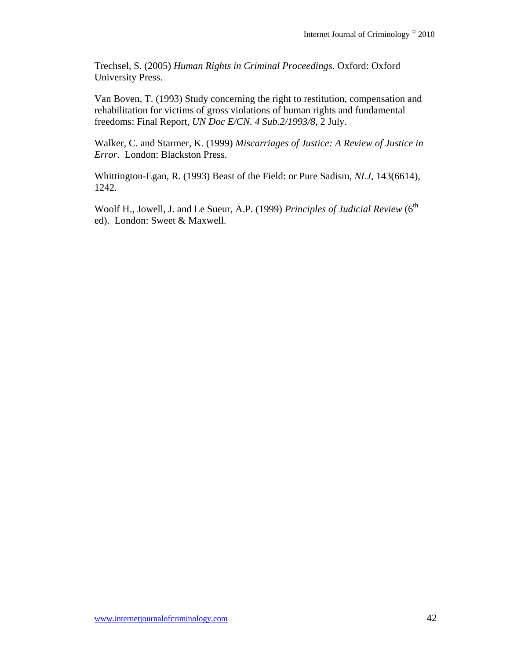Trechsel, S. (2005) *Human Rights in Criminal Proceedings.* Oxford: Oxford University Press.

Van Boven, T. (1993) Study concerning the right to restitution, compensation and rehabilitation for victims of gross violations of human rights and fundamental freedoms: Final Report, *UN Doc E/CN. 4 Sub.2/1993/8*, 2 July.

Walker, C. and Starmer, K. (1999) *Miscarriages of Justice: A Review of Justice in Error*. London: Blackston Press.

Whittington-Egan, R. (1993) Beast of the Field: or Pure Sadism, *NLJ*, 143(6614), 1242.

Woolf H., Jowell, J. and Le Sueur, A.P. (1999) *Principles of Judicial Review* (6<sup>th</sup> ed). London: Sweet & Maxwell.